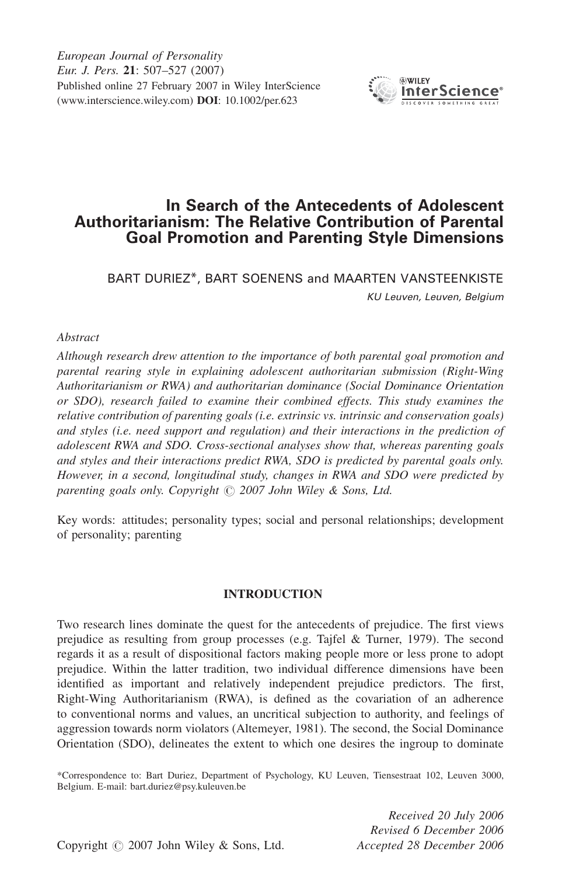European Journal of Personality Eur. J. Pers. 21: 507–527 (2007) Published online 27 February 2007 in Wiley InterScience (www.interscience.wiley.com) DOI: 10.1002/per.623



# In Search of the Antecedents of Adolescent Authoritarianism: The Relative Contribution of Parental Goal Promotion and Parenting Style Dimensions

BART DURIEZ\*, BART SOENENS and MAARTEN VANSTEENKISTE

KU Leuven, Leuven, Belgium

# Abstract

Although research drew attention to the importance of both parental goal promotion and parental rearing style in explaining adolescent authoritarian submission (Right-Wing Authoritarianism or RWA) and authoritarian dominance (Social Dominance Orientation or SDO), research failed to examine their combined effects. This study examines the relative contribution of parenting goals (i.e. extrinsic vs. intrinsic and conservation goals) and styles (i.e. need support and regulation) and their interactions in the prediction of adolescent RWA and SDO. Cross-sectional analyses show that, whereas parenting goals and styles and their interactions predict RWA, SDO is predicted by parental goals only. However, in a second, longitudinal study, changes in RWA and SDO were predicted by parenting goals only. Copyright  $\odot$  2007 John Wiley & Sons, Ltd.

Key words: attitudes; personality types; social and personal relationships; development of personality; parenting

# INTRODUCTION

Two research lines dominate the quest for the antecedents of prejudice. The first views prejudice as resulting from group processes (e.g. Tajfel & Turner, 1979). The second regards it as a result of dispositional factors making people more or less prone to adopt prejudice. Within the latter tradition, two individual difference dimensions have been identified as important and relatively independent prejudice predictors. The first, Right-Wing Authoritarianism (RWA), is defined as the covariation of an adherence to conventional norms and values, an uncritical subjection to authority, and feelings of aggression towards norm violators (Altemeyer, 1981). The second, the Social Dominance Orientation (SDO), delineates the extent to which one desires the ingroup to dominate

\*Correspondence to: Bart Duriez, Department of Psychology, KU Leuven, Tiensestraat 102, Leuven 3000, Belgium. E-mail: bart.duriez@psy.kuleuven.be

> Received 20 July 2006 Revised 6 December 2006 Accepted 28 December 2006

Copyright  $\odot$  2007 John Wiley & Sons, Ltd.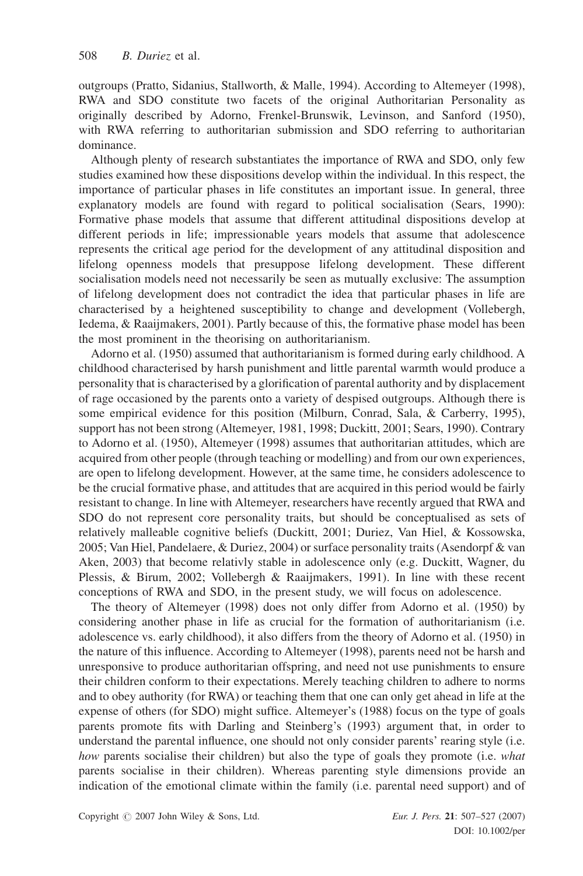outgroups (Pratto, Sidanius, Stallworth, & Malle, 1994). According to Altemeyer (1998), RWA and SDO constitute two facets of the original Authoritarian Personality as originally described by Adorno, Frenkel-Brunswik, Levinson, and Sanford (1950), with RWA referring to authoritarian submission and SDO referring to authoritarian dominance.

Although plenty of research substantiates the importance of RWA and SDO, only few studies examined how these dispositions develop within the individual. In this respect, the importance of particular phases in life constitutes an important issue. In general, three explanatory models are found with regard to political socialisation (Sears, 1990): Formative phase models that assume that different attitudinal dispositions develop at different periods in life; impressionable years models that assume that adolescence represents the critical age period for the development of any attitudinal disposition and lifelong openness models that presuppose lifelong development. These different socialisation models need not necessarily be seen as mutually exclusive: The assumption of lifelong development does not contradict the idea that particular phases in life are characterised by a heightened susceptibility to change and development (Vollebergh, Iedema, & Raaijmakers, 2001). Partly because of this, the formative phase model has been the most prominent in the theorising on authoritarianism.

Adorno et al. (1950) assumed that authoritarianism is formed during early childhood. A childhood characterised by harsh punishment and little parental warmth would produce a personality that is characterised by a glorification of parental authority and by displacement of rage occasioned by the parents onto a variety of despised outgroups. Although there is some empirical evidence for this position (Milburn, Conrad, Sala, & Carberry, 1995), support has not been strong (Altemeyer, 1981, 1998; Duckitt, 2001; Sears, 1990). Contrary to Adorno et al. (1950), Altemeyer (1998) assumes that authoritarian attitudes, which are acquired from other people (through teaching or modelling) and from our own experiences, are open to lifelong development. However, at the same time, he considers adolescence to be the crucial formative phase, and attitudes that are acquired in this period would be fairly resistant to change. In line with Altemeyer, researchers have recently argued that RWA and SDO do not represent core personality traits, but should be conceptualised as sets of relatively malleable cognitive beliefs (Duckitt, 2001; Duriez, Van Hiel, & Kossowska, 2005; Van Hiel, Pandelaere, & Duriez, 2004) or surface personality traits (Asendorpf & van Aken, 2003) that become relativly stable in adolescence only (e.g. Duckitt, Wagner, du Plessis, & Birum, 2002; Vollebergh & Raaijmakers, 1991). In line with these recent conceptions of RWA and SDO, in the present study, we will focus on adolescence.

The theory of Altemeyer (1998) does not only differ from Adorno et al. (1950) by considering another phase in life as crucial for the formation of authoritarianism (i.e. adolescence vs. early childhood), it also differs from the theory of Adorno et al. (1950) in the nature of this influence. According to Altemeyer (1998), parents need not be harsh and unresponsive to produce authoritarian offspring, and need not use punishments to ensure their children conform to their expectations. Merely teaching children to adhere to norms and to obey authority (for RWA) or teaching them that one can only get ahead in life at the expense of others (for SDO) might suffice. Altemeyer's (1988) focus on the type of goals parents promote fits with Darling and Steinberg's (1993) argument that, in order to understand the parental influence, one should not only consider parents' rearing style (i.e. how parents socialise their children) but also the type of goals they promote (i.e. what parents socialise in their children). Whereas parenting style dimensions provide an indication of the emotional climate within the family (i.e. parental need support) and of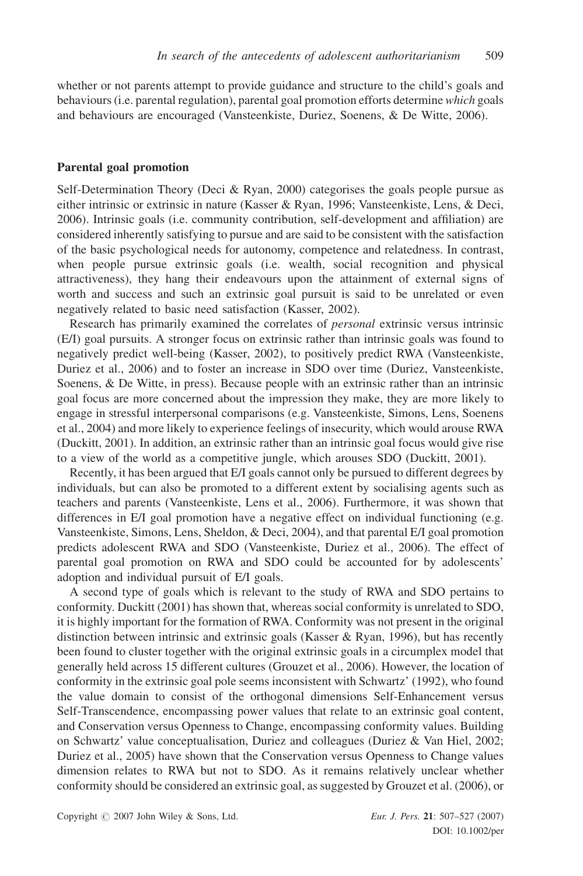whether or not parents attempt to provide guidance and structure to the child's goals and behaviours (i.e. parental regulation), parental goal promotion efforts determine which goals and behaviours are encouraged (Vansteenkiste, Duriez, Soenens, & De Witte, 2006).

#### Parental goal promotion

Self-Determination Theory (Deci & Ryan, 2000) categorises the goals people pursue as either intrinsic or extrinsic in nature (Kasser & Ryan, 1996; Vansteenkiste, Lens, & Deci, 2006). Intrinsic goals (i.e. community contribution, self-development and affiliation) are considered inherently satisfying to pursue and are said to be consistent with the satisfaction of the basic psychological needs for autonomy, competence and relatedness. In contrast, when people pursue extrinsic goals (i.e. wealth, social recognition and physical attractiveness), they hang their endeavours upon the attainment of external signs of worth and success and such an extrinsic goal pursuit is said to be unrelated or even negatively related to basic need satisfaction (Kasser, 2002).

Research has primarily examined the correlates of personal extrinsic versus intrinsic (E/I) goal pursuits. A stronger focus on extrinsic rather than intrinsic goals was found to negatively predict well-being (Kasser, 2002), to positively predict RWA (Vansteenkiste, Duriez et al., 2006) and to foster an increase in SDO over time (Duriez, Vansteenkiste, Soenens, & De Witte, in press). Because people with an extrinsic rather than an intrinsic goal focus are more concerned about the impression they make, they are more likely to engage in stressful interpersonal comparisons (e.g. Vansteenkiste, Simons, Lens, Soenens et al., 2004) and more likely to experience feelings of insecurity, which would arouse RWA (Duckitt, 2001). In addition, an extrinsic rather than an intrinsic goal focus would give rise to a view of the world as a competitive jungle, which arouses SDO (Duckitt, 2001).

Recently, it has been argued that E/I goals cannot only be pursued to different degrees by individuals, but can also be promoted to a different extent by socialising agents such as teachers and parents (Vansteenkiste, Lens et al., 2006). Furthermore, it was shown that differences in E/I goal promotion have a negative effect on individual functioning (e.g. Vansteenkiste, Simons, Lens, Sheldon, & Deci, 2004), and that parental E/I goal promotion predicts adolescent RWA and SDO (Vansteenkiste, Duriez et al., 2006). The effect of parental goal promotion on RWA and SDO could be accounted for by adolescents' adoption and individual pursuit of E/I goals.

A second type of goals which is relevant to the study of RWA and SDO pertains to conformity. Duckitt (2001) has shown that, whereas social conformity is unrelated to SDO, it is highly important for the formation of RWA. Conformity was not present in the original distinction between intrinsic and extrinsic goals (Kasser & Ryan, 1996), but has recently been found to cluster together with the original extrinsic goals in a circumplex model that generally held across 15 different cultures (Grouzet et al., 2006). However, the location of conformity in the extrinsic goal pole seems inconsistent with Schwartz' (1992), who found the value domain to consist of the orthogonal dimensions Self-Enhancement versus Self-Transcendence, encompassing power values that relate to an extrinsic goal content, and Conservation versus Openness to Change, encompassing conformity values. Building on Schwartz' value conceptualisation, Duriez and colleagues (Duriez & Van Hiel, 2002; Duriez et al., 2005) have shown that the Conservation versus Openness to Change values dimension relates to RWA but not to SDO. As it remains relatively unclear whether conformity should be considered an extrinsic goal, as suggested by Grouzet et al. (2006), or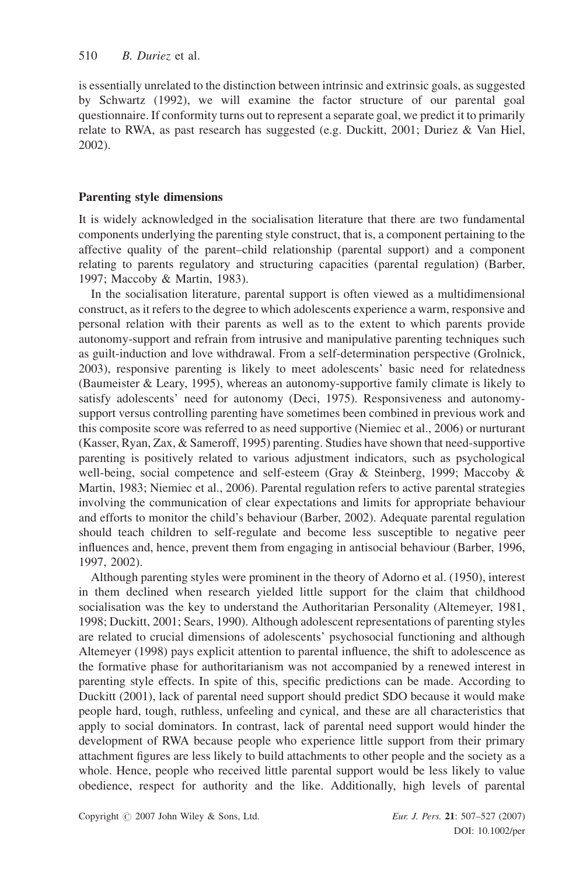is essentially unrelated to the distinction between intrinsic and extrinsic goals, as suggested by Schwartz (1992), we will examine the factor structure of our parental goal questionnaire. If conformity turns out to represent a separate goal, we predict it to primarily relate to RWA, as past research has suggested (e.g. Duckitt, 2001; Duriez & Van Hiel, 2002).

# Parenting style dimensions

It is widely acknowledged in the socialisation literature that there are two fundamental components underlying the parenting style construct, that is, a component pertaining to the affective quality of the parent–child relationship (parental support) and a component relating to parents regulatory and structuring capacities (parental regulation) (Barber, 1997; Maccoby & Martin, 1983).

In the socialisation literature, parental support is often viewed as a multidimensional construct, as it refers to the degree to which adolescents experience a warm, responsive and personal relation with their parents as well as to the extent to which parents provide autonomy-support and refrain from intrusive and manipulative parenting techniques such as guilt-induction and love withdrawal. From a self-determination perspective (Grolnick, 2003), responsive parenting is likely to meet adolescents' basic need for relatedness (Baumeister & Leary, 1995), whereas an autonomy-supportive family climate is likely to satisfy adolescents' need for autonomy (Deci, 1975). Responsiveness and autonomysupport versus controlling parenting have sometimes been combined in previous work and this composite score was referred to as need supportive (Niemiec et al., 2006) or nurturant (Kasser, Ryan, Zax, & Sameroff, 1995) parenting. Studies have shown that need-supportive parenting is positively related to various adjustment indicators, such as psychological well-being, social competence and self-esteem (Gray & Steinberg, 1999; Maccoby & Martin, 1983; Niemiec et al., 2006). Parental regulation refers to active parental strategies involving the communication of clear expectations and limits for appropriate behaviour and efforts to monitor the child's behaviour (Barber, 2002). Adequate parental regulation should teach children to self-regulate and become less susceptible to negative peer influences and, hence, prevent them from engaging in antisocial behaviour (Barber, 1996, 1997, 2002).

Although parenting styles were prominent in the theory of Adorno et al. (1950), interest in them declined when research yielded little support for the claim that childhood socialisation was the key to understand the Authoritarian Personality (Altemeyer, 1981, 1998; Duckitt, 2001; Sears, 1990). Although adolescent representations of parenting styles are related to crucial dimensions of adolescents' psychosocial functioning and although Altemeyer (1998) pays explicit attention to parental influence, the shift to adolescence as the formative phase for authoritarianism was not accompanied by a renewed interest in parenting style effects. In spite of this, specific predictions can be made. According to Duckitt (2001), lack of parental need support should predict SDO because it would make people hard, tough, ruthless, unfeeling and cynical, and these are all characteristics that apply to social dominators. In contrast, lack of parental need support would hinder the development of RWA because people who experience little support from their primary attachment figures are less likely to build attachments to other people and the society as a whole. Hence, people who received little parental support would be less likely to value obedience, respect for authority and the like. Additionally, high levels of parental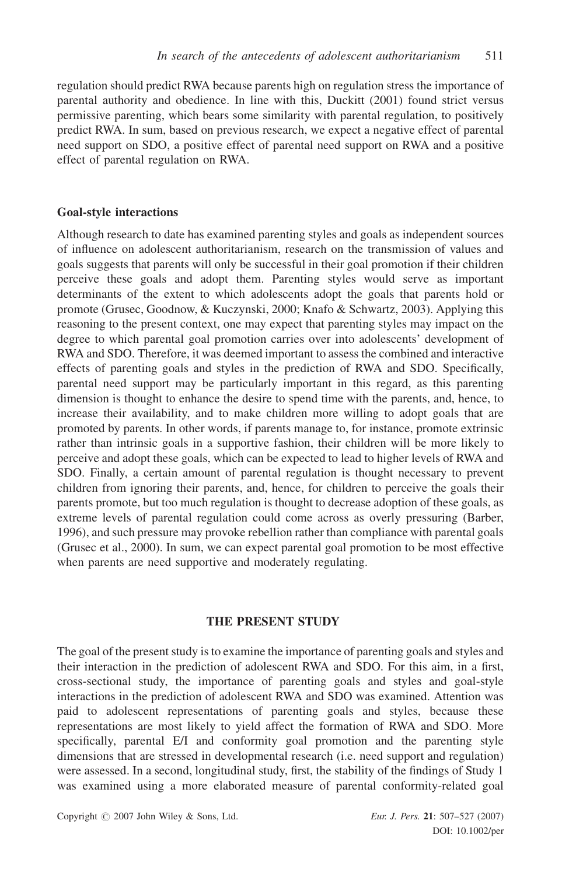regulation should predict RWA because parents high on regulation stress the importance of parental authority and obedience. In line with this, Duckitt (2001) found strict versus permissive parenting, which bears some similarity with parental regulation, to positively predict RWA. In sum, based on previous research, we expect a negative effect of parental need support on SDO, a positive effect of parental need support on RWA and a positive effect of parental regulation on RWA.

#### Goal-style interactions

Although research to date has examined parenting styles and goals as independent sources of influence on adolescent authoritarianism, research on the transmission of values and goals suggests that parents will only be successful in their goal promotion if their children perceive these goals and adopt them. Parenting styles would serve as important determinants of the extent to which adolescents adopt the goals that parents hold or promote (Grusec, Goodnow, & Kuczynski, 2000; Knafo & Schwartz, 2003). Applying this reasoning to the present context, one may expect that parenting styles may impact on the degree to which parental goal promotion carries over into adolescents' development of RWA and SDO. Therefore, it was deemed important to assess the combined and interactive effects of parenting goals and styles in the prediction of RWA and SDO. Specifically, parental need support may be particularly important in this regard, as this parenting dimension is thought to enhance the desire to spend time with the parents, and, hence, to increase their availability, and to make children more willing to adopt goals that are promoted by parents. In other words, if parents manage to, for instance, promote extrinsic rather than intrinsic goals in a supportive fashion, their children will be more likely to perceive and adopt these goals, which can be expected to lead to higher levels of RWA and SDO. Finally, a certain amount of parental regulation is thought necessary to prevent children from ignoring their parents, and, hence, for children to perceive the goals their parents promote, but too much regulation is thought to decrease adoption of these goals, as extreme levels of parental regulation could come across as overly pressuring (Barber, 1996), and such pressure may provoke rebellion rather than compliance with parental goals (Grusec et al., 2000). In sum, we can expect parental goal promotion to be most effective when parents are need supportive and moderately regulating.

## THE PRESENT STUDY

The goal of the present study is to examine the importance of parenting goals and styles and their interaction in the prediction of adolescent RWA and SDO. For this aim, in a first, cross-sectional study, the importance of parenting goals and styles and goal-style interactions in the prediction of adolescent RWA and SDO was examined. Attention was paid to adolescent representations of parenting goals and styles, because these representations are most likely to yield affect the formation of RWA and SDO. More specifically, parental E/I and conformity goal promotion and the parenting style dimensions that are stressed in developmental research (i.e. need support and regulation) were assessed. In a second, longitudinal study, first, the stability of the findings of Study 1 was examined using a more elaborated measure of parental conformity-related goal

Copyright © 2007 John Wiley & Sons, Ltd. Eur. J. Pers. 21: 507-527 (2007)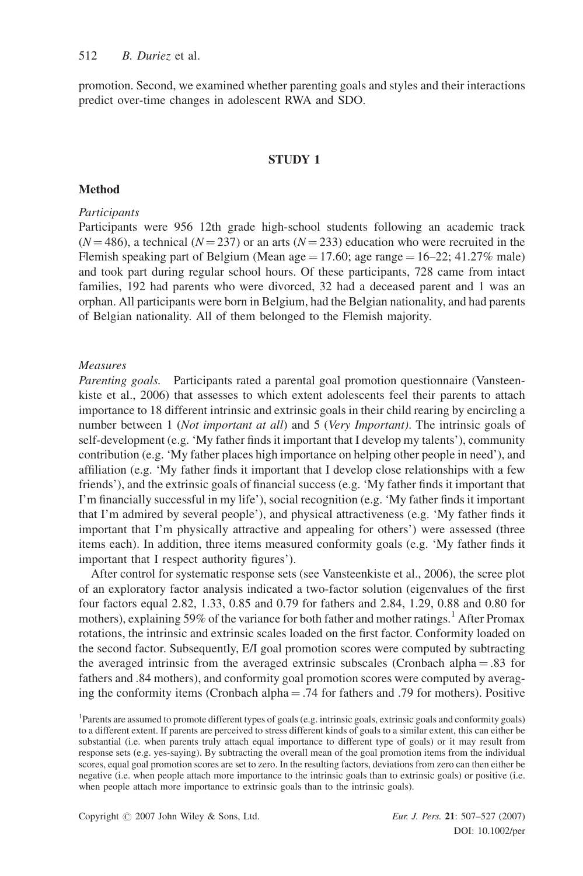promotion. Second, we examined whether parenting goals and styles and their interactions predict over-time changes in adolescent RWA and SDO.

#### STUDY 1

## **Method**

## **Participants**

Participants were 956 12th grade high-school students following an academic track  $(N = 486)$ , a technical  $(N = 237)$  or an arts  $(N = 233)$  education who were recruited in the Flemish speaking part of Belgium (Mean age  $= 17.60$ ; age range  $= 16-22$ ; 41.27% male) and took part during regular school hours. Of these participants, 728 came from intact families, 192 had parents who were divorced, 32 had a deceased parent and 1 was an orphan. All participants were born in Belgium, had the Belgian nationality, and had parents of Belgian nationality. All of them belonged to the Flemish majority.

#### Measures

Parenting goals. Participants rated a parental goal promotion questionnaire (Vansteenkiste et al., 2006) that assesses to which extent adolescents feel their parents to attach importance to 18 different intrinsic and extrinsic goals in their child rearing by encircling a number between 1 (*Not important at all*) and 5 (*Very Important*). The intrinsic goals of self-development (e.g. 'My father finds it important that I develop my talents'), community contribution (e.g. 'My father places high importance on helping other people in need'), and affiliation (e.g. 'My father finds it important that I develop close relationships with a few friends'), and the extrinsic goals of financial success (e.g. 'My father finds it important that I'm financially successful in my life'), social recognition (e.g. 'My father finds it important that I'm admired by several people'), and physical attractiveness (e.g. 'My father finds it important that I'm physically attractive and appealing for others') were assessed (three items each). In addition, three items measured conformity goals (e.g. 'My father finds it important that I respect authority figures').

After control for systematic response sets (see Vansteenkiste et al., 2006), the scree plot of an exploratory factor analysis indicated a two-factor solution (eigenvalues of the first four factors equal 2.82, 1.33, 0.85 and 0.79 for fathers and 2.84, 1.29, 0.88 and 0.80 for mothers), explaining 59% of the variance for both father and mother ratings.<sup>1</sup> After Promax rotations, the intrinsic and extrinsic scales loaded on the first factor. Conformity loaded on the second factor. Subsequently, E/I goal promotion scores were computed by subtracting the averaged intrinsic from the averaged extrinsic subscales (Cronbach alpha  $= .83$  for fathers and .84 mothers), and conformity goal promotion scores were computed by averaging the conformity items (Cronbach alpha  $= .74$  for fathers and .79 for mothers). Positive

<sup>&</sup>lt;sup>1</sup>Parents are assumed to promote different types of goals (e.g. intrinsic goals, extrinsic goals and conformity goals) to a different extent. If parents are perceived to stress different kinds of goals to a similar extent, this can either be substantial (i.e. when parents truly attach equal importance to different type of goals) or it may result from response sets (e.g. yes-saying). By subtracting the overall mean of the goal promotion items from the individual scores, equal goal promotion scores are set to zero. In the resulting factors, deviations from zero can then either be negative (i.e. when people attach more importance to the intrinsic goals than to extrinsic goals) or positive (i.e. when people attach more importance to extrinsic goals than to the intrinsic goals).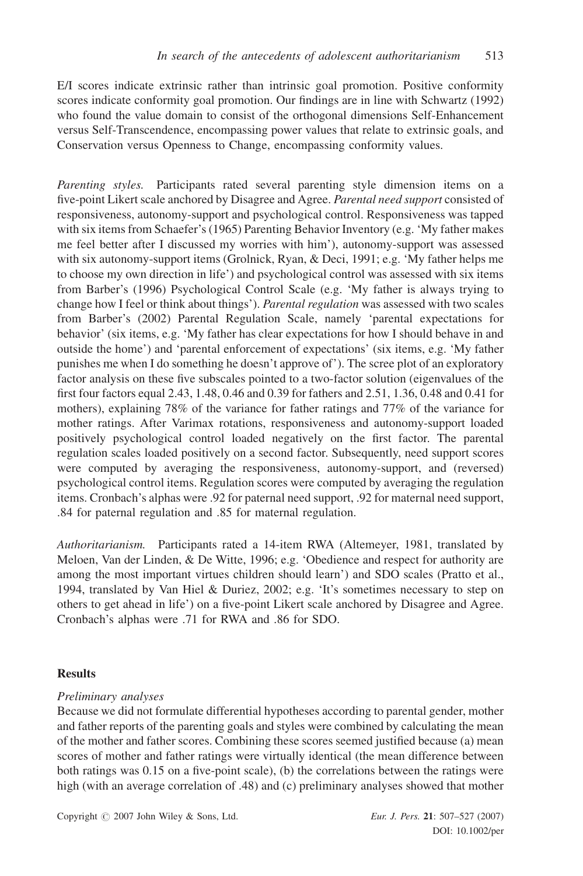E/I scores indicate extrinsic rather than intrinsic goal promotion. Positive conformity scores indicate conformity goal promotion. Our findings are in line with Schwartz (1992) who found the value domain to consist of the orthogonal dimensions Self-Enhancement versus Self-Transcendence, encompassing power values that relate to extrinsic goals, and Conservation versus Openness to Change, encompassing conformity values.

Parenting styles. Participants rated several parenting style dimension items on a five-point Likert scale anchored by Disagree and Agree. Parental need support consisted of responsiveness, autonomy-support and psychological control. Responsiveness was tapped with six items from Schaefer's (1965) Parenting Behavior Inventory (e.g. 'My father makes me feel better after I discussed my worries with him'), autonomy-support was assessed with six autonomy-support items (Grolnick, Ryan, & Deci, 1991; e.g. 'My father helps me to choose my own direction in life') and psychological control was assessed with six items from Barber's (1996) Psychological Control Scale (e.g. 'My father is always trying to change how I feel or think about things'). Parental regulation was assessed with two scales from Barber's (2002) Parental Regulation Scale, namely 'parental expectations for behavior' (six items, e.g. 'My father has clear expectations for how I should behave in and outside the home') and 'parental enforcement of expectations' (six items, e.g. 'My father punishes me when I do something he doesn't approve of'). The scree plot of an exploratory factor analysis on these five subscales pointed to a two-factor solution (eigenvalues of the first four factors equal 2.43, 1.48, 0.46 and 0.39 for fathers and 2.51, 1.36, 0.48 and 0.41 for mothers), explaining 78% of the variance for father ratings and 77% of the variance for mother ratings. After Varimax rotations, responsiveness and autonomy-support loaded positively psychological control loaded negatively on the first factor. The parental regulation scales loaded positively on a second factor. Subsequently, need support scores were computed by averaging the responsiveness, autonomy-support, and (reversed) psychological control items. Regulation scores were computed by averaging the regulation items. Cronbach's alphas were .92 for paternal need support, .92 for maternal need support, .84 for paternal regulation and .85 for maternal regulation.

Authoritarianism. Participants rated a 14-item RWA (Altemeyer, 1981, translated by Meloen, Van der Linden, & De Witte, 1996; e.g. 'Obedience and respect for authority are among the most important virtues children should learn') and SDO scales (Pratto et al., 1994, translated by Van Hiel & Duriez, 2002; e.g. 'It's sometimes necessary to step on others to get ahead in life') on a five-point Likert scale anchored by Disagree and Agree. Cronbach's alphas were .71 for RWA and .86 for SDO.

# Results

# Preliminary analyses

Because we did not formulate differential hypotheses according to parental gender, mother and father reports of the parenting goals and styles were combined by calculating the mean of the mother and father scores. Combining these scores seemed justified because (a) mean scores of mother and father ratings were virtually identical (the mean difference between both ratings was 0.15 on a five-point scale), (b) the correlations between the ratings were high (with an average correlation of .48) and (c) preliminary analyses showed that mother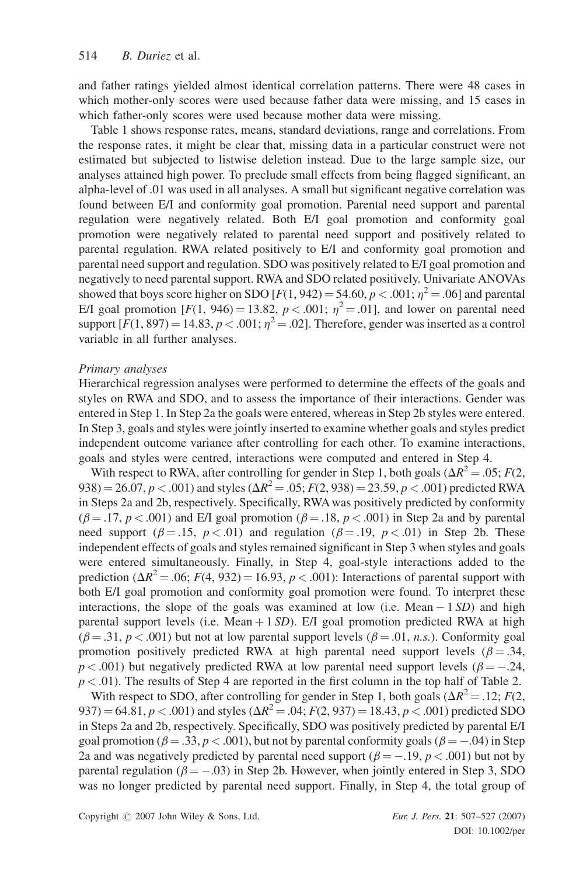and father ratings yielded almost identical correlation patterns. There were 48 cases in which mother-only scores were used because father data were missing, and 15 cases in which father-only scores were used because mother data were missing.

Table 1 shows response rates, means, standard deviations, range and correlations. From the response rates, it might be clear that, missing data in a particular construct were not estimated but subjected to listwise deletion instead. Due to the large sample size, our analyses attained high power. To preclude small effects from being flagged significant, an alpha-level of .01 was used in all analyses. A small but significant negative correlation was found between E/I and conformity goal promotion. Parental need support and parental regulation were negatively related. Both E/I goal promotion and conformity goal promotion were negatively related to parental need support and positively related to parental regulation. RWA related positively to E/I and conformity goal promotion and parental need support and regulation. SDO was positively related to E/I goal promotion and negatively to need parental support. RWA and SDO related positively. Univariate ANOVAs showed that boys score higher on SDO  $[F(1, 942) = 54.60, p < .001; n^2 = .06]$  and parental E/I goal promotion  $[F(1, 946) = 13.82, p < .001; \eta^2 = .01]$ , and lower on parental need support  $[F(1, 897) = 14.83, p < .001; \eta^2 = .02]$ . Therefore, gender was inserted as a control variable in all further analyses.

## Primary analyses

Hierarchical regression analyses were performed to determine the effects of the goals and styles on RWA and SDO, and to assess the importance of their interactions. Gender was entered in Step 1. In Step 2a the goals were entered, whereas in Step 2b styles were entered. In Step 3, goals and styles were jointly inserted to examine whether goals and styles predict independent outcome variance after controlling for each other. To examine interactions, goals and styles were centred, interactions were computed and entered in Step 4.

With respect to RWA, after controlling for gender in Step 1, both goals ( $\Delta R^2 = .05$ ; F(2, 938) = 26.07, p < .001) and styles ( $\Delta R^2$  = .05; F(2, 938) = 23.59, p < .001) predicted RWA in Steps 2a and 2b, respectively. Specifically, RWA was positively predicted by conformity  $(\beta = .17, p < .001)$  and E/I goal promotion  $(\beta = .18, p < .001)$  in Step 2a and by parental need support  $(\beta = .15, p < .01)$  and regulation  $(\beta = .19, p < .01)$  in Step 2b. These independent effects of goals and styles remained significant in Step 3 when styles and goals were entered simultaneously. Finally, in Step 4, goal-style interactions added to the prediction ( $\Delta R^2$  = .06;  $F(4, 932)$  = 16.93,  $p < .001$ ): Interactions of parental support with both E/I goal promotion and conformity goal promotion were found. To interpret these interactions, the slope of the goals was examined at low (i.e. Mean  $-1 SD$ ) and high parental support levels (i.e. Mean  $+1 SD$ ). E/I goal promotion predicted RWA at high  $(\beta = .31, p < .001)$  but not at low parental support levels  $(\beta = .01, n.s.)$ . Conformity goal promotion positively predicted RWA at high parental need support levels  $(\beta = .34, )$  $p < .001$ ) but negatively predicted RWA at low parental need support levels ( $\beta = -.24$ ,  $p < .01$ ). The results of Step 4 are reported in the first column in the top half of Table 2.

With respect to SDO, after controlling for gender in Step 1, both goals ( $\Delta R^2 = .12$ ;  $F(2, )$ 937) = 64.81,  $p < .001$ ) and styles ( $\Delta R^2 = .04$ ;  $F(2, 937) = 18.43$ ,  $p < .001$ ) predicted SDO in Steps 2a and 2b, respectively. Specifically, SDO was positively predicted by parental E/I goal promotion ( $\beta = .33$ ,  $p < .001$ ), but not by parental conformity goals ( $\beta = -.04$ ) in Step 2a and was negatively predicted by parental need support ( $\beta = -1.19$ ,  $p < .001$ ) but not by parental regulation ( $\beta = -.03$ ) in Step 2b. However, when jointly entered in Step 3, SDO was no longer predicted by parental need support. Finally, in Step 4, the total group of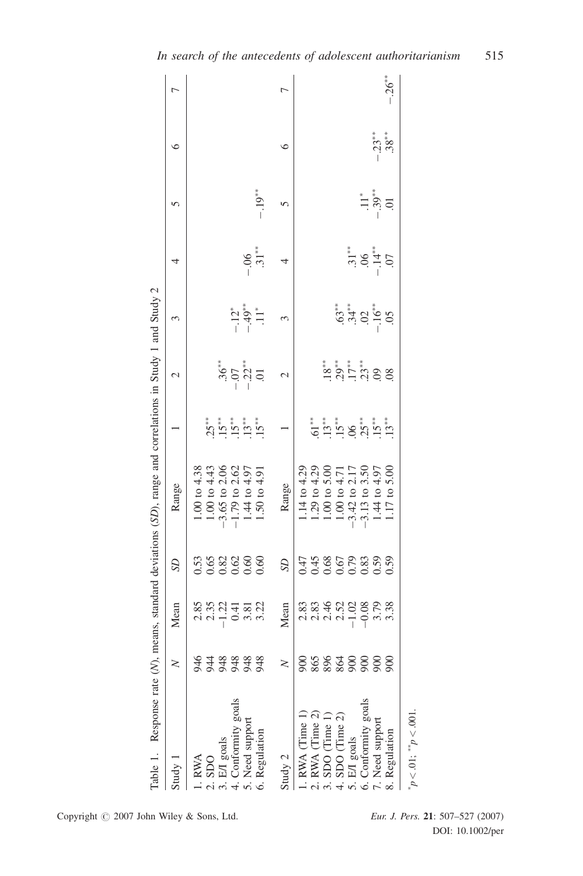| Table 1. Response rate (N), means, standard deviations (SD), range and correlations in Study 1 and Study 2 |                  |                                                                                                                                                                                                                                                                                   |           |                                                  |                                                                                                                                                                                                                                                                                                                                                                                                                                         |                                                                                                                                                                                                                                                                                                                                                                                                                                                                                                                       |                                                                                                                                                                                                              |                                                                                                    |                    |                 |         |
|------------------------------------------------------------------------------------------------------------|------------------|-----------------------------------------------------------------------------------------------------------------------------------------------------------------------------------------------------------------------------------------------------------------------------------|-----------|--------------------------------------------------|-----------------------------------------------------------------------------------------------------------------------------------------------------------------------------------------------------------------------------------------------------------------------------------------------------------------------------------------------------------------------------------------------------------------------------------------|-----------------------------------------------------------------------------------------------------------------------------------------------------------------------------------------------------------------------------------------------------------------------------------------------------------------------------------------------------------------------------------------------------------------------------------------------------------------------------------------------------------------------|--------------------------------------------------------------------------------------------------------------------------------------------------------------------------------------------------------------|----------------------------------------------------------------------------------------------------|--------------------|-----------------|---------|
| Study 1                                                                                                    | $\geq$           | Mean                                                                                                                                                                                                                                                                              | <b>SD</b> | Range                                            |                                                                                                                                                                                                                                                                                                                                                                                                                                         | $\mathcal{C}$                                                                                                                                                                                                                                                                                                                                                                                                                                                                                                         | 3                                                                                                                                                                                                            | 4                                                                                                  | 5                  | ७               | t       |
| . RWA                                                                                                      |                  |                                                                                                                                                                                                                                                                                   |           | 1.00 to 4.38                                     |                                                                                                                                                                                                                                                                                                                                                                                                                                         |                                                                                                                                                                                                                                                                                                                                                                                                                                                                                                                       |                                                                                                                                                                                                              |                                                                                                    |                    |                 |         |
| $2.$ SDO                                                                                                   |                  |                                                                                                                                                                                                                                                                                   |           | $1.00$ to $4.43$                                 |                                                                                                                                                                                                                                                                                                                                                                                                                                         |                                                                                                                                                                                                                                                                                                                                                                                                                                                                                                                       |                                                                                                                                                                                                              |                                                                                                    |                    |                 |         |
| BII goals                                                                                                  |                  |                                                                                                                                                                                                                                                                                   |           |                                                  |                                                                                                                                                                                                                                                                                                                                                                                                                                         |                                                                                                                                                                                                                                                                                                                                                                                                                                                                                                                       |                                                                                                                                                                                                              |                                                                                                    |                    |                 |         |
| 4. Conformity goals                                                                                        | ******<br>****** | $85.871$<br>$0.717$<br>$0.717$<br>$0.717$<br>$0.717$                                                                                                                                                                                                                              |           | $-3.65$ to 2.06<br>-1.79 to 2.62<br>1.44 to 4.97 | $\begin{array}{c} \mathbf{\ddot{5}} \overset{*}{\leftrightarrow} \ \mathbf{\ddot{1}} \overset{*}{\leftrightarrow} \ \mathbf{\ddot{1}} \overset{*}{\leftrightarrow} \ \mathbf{\ddot{1}} \overset{*}{\leftrightarrow} \ \mathbf{\ddot{1}} \overset{*}{\leftrightarrow} \ \mathbf{\ddot{1}} \overset{*}{\leftrightarrow} \ \mathbf{\ddot{1}} \overset{*}{\leftrightarrow} \ \mathbf{\ddot{1}} \end{array}$                                 | $-36^{**}$<br>$-07$<br>$-22^{**}$<br>01                                                                                                                                                                                                                                                                                                                                                                                                                                                                               | $-12$ <sup>*</sup><br>$-49$ <sup>*</sup><br>$-17$ <sup>*</sup>                                                                                                                                               |                                                                                                    |                    |                 |         |
| 5. Need support                                                                                            |                  |                                                                                                                                                                                                                                                                                   |           |                                                  |                                                                                                                                                                                                                                                                                                                                                                                                                                         |                                                                                                                                                                                                                                                                                                                                                                                                                                                                                                                       |                                                                                                                                                                                                              |                                                                                                    |                    |                 |         |
| 6. Regulation                                                                                              |                  |                                                                                                                                                                                                                                                                                   |           | 1.50 to 4.91                                     |                                                                                                                                                                                                                                                                                                                                                                                                                                         |                                                                                                                                                                                                                                                                                                                                                                                                                                                                                                                       |                                                                                                                                                                                                              | $-06$<br>31**                                                                                      | $-19**$            |                 |         |
| Study 2                                                                                                    | 2                | Mean                                                                                                                                                                                                                                                                              | SD        | Range                                            |                                                                                                                                                                                                                                                                                                                                                                                                                                         | $\mathcal{C}$                                                                                                                                                                                                                                                                                                                                                                                                                                                                                                         | 3                                                                                                                                                                                                            |                                                                                                    | 5                  | $\circ$         |         |
| . RWA (Time 1)                                                                                             |                  |                                                                                                                                                                                                                                                                                   |           | $1.14$ to $4.29$                                 |                                                                                                                                                                                                                                                                                                                                                                                                                                         |                                                                                                                                                                                                                                                                                                                                                                                                                                                                                                                       |                                                                                                                                                                                                              |                                                                                                    |                    |                 |         |
| . RWA (Time $2$ )                                                                                          |                  |                                                                                                                                                                                                                                                                                   |           | 1.29 to 4.29                                     |                                                                                                                                                                                                                                                                                                                                                                                                                                         |                                                                                                                                                                                                                                                                                                                                                                                                                                                                                                                       |                                                                                                                                                                                                              |                                                                                                    |                    |                 |         |
| . SDO (Time 1                                                                                              |                  |                                                                                                                                                                                                                                                                                   |           | 1.00 to 5.00                                     |                                                                                                                                                                                                                                                                                                                                                                                                                                         |                                                                                                                                                                                                                                                                                                                                                                                                                                                                                                                       |                                                                                                                                                                                                              |                                                                                                    |                    |                 |         |
| $\therefore$ SDO (Time 2)                                                                                  |                  |                                                                                                                                                                                                                                                                                   |           | $1.00 \text{ to } 4.71$                          |                                                                                                                                                                                                                                                                                                                                                                                                                                         |                                                                                                                                                                                                                                                                                                                                                                                                                                                                                                                       |                                                                                                                                                                                                              |                                                                                                    |                    |                 |         |
| 5. E/I goals                                                                                               |                  |                                                                                                                                                                                                                                                                                   |           |                                                  |                                                                                                                                                                                                                                                                                                                                                                                                                                         |                                                                                                                                                                                                                                                                                                                                                                                                                                                                                                                       |                                                                                                                                                                                                              |                                                                                                    |                    |                 |         |
| 6. Conformity goals                                                                                        | <b>888888888</b> | $\begin{array}{l} 333471000 \\ 213347100 \\ 21334710 \\ 21339470 \\ 21339470 \\ 21339470 \\ 21339470 \\ 21339470 \\ 21339470 \\ 21339470 \\ 21339470 \\ 21339470 \\ 21339470 \\ 21339470 \\ 21339470 \\ 21339470 \\ 21339470 \\ 21339470 \\ 21339470 \\ 21339470 \\ 21339470 \\ $ |           | $-3.42$ to 2.17<br>-3.13 to 3.50                 | $\begin{array}{l} \stackrel{*}{\sim} \\[-1.2mm] \stackrel{*}{\sim} \\[-1.2mm] \stackrel{1}{\sim} \\[-1.2mm] \stackrel{1}{\sim} \\[-1.2mm] \stackrel{1}{\sim} \\[-1.2mm] \stackrel{1}{\sim} \\[-1.2mm] \stackrel{1}{\sim} \\[-1.2mm] \stackrel{1}{\sim} \\[-1.2mm] \stackrel{1}{\sim} \\[-1.2mm] \stackrel{1}{\sim} \\[-1.2mm] \stackrel{1}{\sim} \\[-1.2mm] \stackrel{1}{\sim} \\[-1.2mm] \stackrel{1}{\sim} \\[-1.2mm] \stackrel{1}{\$ | $\begin{array}{l} \stackrel{*}{\approx} \\[-1.5mm] \stackrel{1}{\approx} \stackrel{1}{\approx} \\[-1.5mm] \stackrel{1}{\approx} \stackrel{1}{\approx} \\[-1.5mm] \stackrel{1}{\approx} \stackrel{1}{\approx} \\[-1.5mm] \stackrel{1}{\approx} \stackrel{2}{\approx} \stackrel{3}{\approx} \\[-1.5mm] \stackrel{2}{\approx} \stackrel{3}{\approx} \stackrel{4}{\approx} \\[-1.5mm] \stackrel{3}{\approx} \stackrel{4}{\approx} \stackrel{4}{\approx} \\[-1.5mm] \stackrel{4}{\approx} \stackrel{5}{\approx} \stackrel$ | $\overset{\ast}{\mathfrak{G}} \overset{\ast}{\mathfrak{F}} \overset{\ast}{\mathfrak{F}} \overset{\ast}{\mathfrak{G}} \overset{\ast}{\mathfrak{G}} \overset{\ast}{\mathfrak{G}} \overset{\ast}{\mathfrak{G}}$ | $\frac{3}{1}$<br>$\frac{3}{1}$<br>$\frac{4}{1}$<br>$\frac{4}{1}$<br>$\frac{5}{1}$<br>$\frac{1}{1}$ | $-39**$<br>$-39**$ |                 |         |
| '. Need support                                                                                            |                  |                                                                                                                                                                                                                                                                                   |           | 1.44 to 4.97                                     |                                                                                                                                                                                                                                                                                                                                                                                                                                         |                                                                                                                                                                                                                                                                                                                                                                                                                                                                                                                       |                                                                                                                                                                                                              |                                                                                                    |                    | $-23**$<br>38** |         |
| 8. Regulation                                                                                              |                  |                                                                                                                                                                                                                                                                                   |           | 1.17 to 5.00                                     |                                                                                                                                                                                                                                                                                                                                                                                                                                         |                                                                                                                                                                                                                                                                                                                                                                                                                                                                                                                       |                                                                                                                                                                                                              |                                                                                                    |                    |                 | $-0.26$ |
| $p < 0.01$ ; $p < 0.001$ .                                                                                 |                  |                                                                                                                                                                                                                                                                                   |           |                                                  |                                                                                                                                                                                                                                                                                                                                                                                                                                         |                                                                                                                                                                                                                                                                                                                                                                                                                                                                                                                       |                                                                                                                                                                                                              |                                                                                                    |                    |                 |         |

Copyright  $\odot$  2007 John Wiley & Sons, Ltd.  $Eur. J. Pers.$  **21**: 507–527 (2007)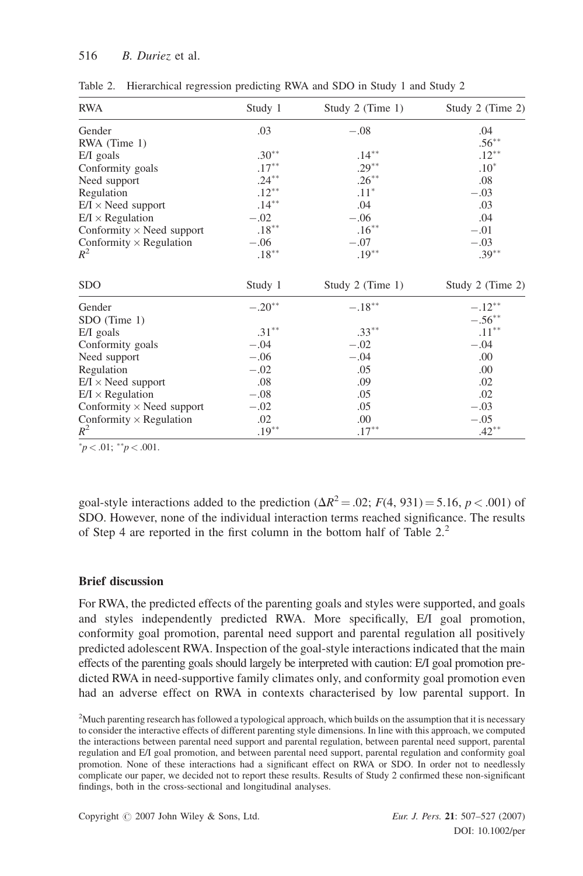## 516 B. Duriez et al.

| <b>RWA</b>                       | Study 1          | Study 2 (Time 1)    | Study 2 (Time 2) |
|----------------------------------|------------------|---------------------|------------------|
| Gender                           | .03              | $-.08$              | .04              |
| RWA (Time 1)                     |                  |                     | $.56***$         |
| $E/I$ goals                      | $.30**$          | $.14***$            | $.12***$         |
| Conformity goals                 | $.17^{\ast\ast}$ | $.29***$            | $.10*$           |
| Need support                     | $.24***$         | $.26***$            | .08              |
| Regulation                       | $.12***$         | $.11*$              | $-.03$           |
| $E/I \times Need$ support        | $.14***$         | .04                 | .03              |
| $E/I \times Regularation$        | $-.02$           | $-.06$              | .04              |
| Conformity $\times$ Need support | $.18***$         | $.16***$            | $-.01$           |
| Conformity $\times$ Regulation   | $-.06$           | $-.07$              | $-.03$           |
| $R^2$                            | $.18^{\ast\ast}$ | $.19***$            | $.39***$         |
| <b>SDO</b>                       | Study 1          | Study 2 (Time $1$ ) | Study 2 (Time 2) |
| Gender                           | $-.20**$         | $-.18***$           | $-.12**$         |
| SDO (Time 1)                     |                  |                     | $-.56***$        |
| $E/I$ goals                      | $.31***$         | $.33***$            | $.11***$         |
| Conformity goals                 | $-.04$           | $-.02$              | $-.04$           |
| Need support                     | $-.06$           | $-.04$              | .00              |
| Regulation                       | $-.02$           | .05                 | .00              |
| $E/I \times Need$ support        | .08              | .09                 | .02              |
| $E/I \times Regularation$        | $-.08$           | .05                 | .02              |
| Conformity $\times$ Need support | $-.02$           | .05                 | $-.03$           |
| Conformity $\times$ Regulation   | .02              | .00                 | $-.05$           |
| $R^2$                            | $.19***$         | $.17^{\ast\ast}$    | $.42***$         |

Table 2. Hierarchical regression predicting RWA and SDO in Study 1 and Study 2

 $\mu^* p < .01; \mu^* p < .001.$ 

goal-style interactions added to the prediction  $(\Delta R^2 = .02; F(4, 931) = 5.16, p < .001)$  of SDO. However, none of the individual interaction terms reached significance. The results of Step 4 are reported in the first column in the bottom half of Table 2.<sup>2</sup>

## Brief discussion

For RWA, the predicted effects of the parenting goals and styles were supported, and goals and styles independently predicted RWA. More specifically, E/I goal promotion, conformity goal promotion, parental need support and parental regulation all positively predicted adolescent RWA. Inspection of the goal-style interactions indicated that the main effects of the parenting goals should largely be interpreted with caution: E/I goal promotion predicted RWA in need-supportive family climates only, and conformity goal promotion even had an adverse effect on RWA in contexts characterised by low parental support. In

<sup>2</sup> Much parenting research has followed a typological approach, which builds on the assumption that it is necessary to consider the interactive effects of different parenting style dimensions. In line with this approach, we computed the interactions between parental need support and parental regulation, between parental need support, parental regulation and E/I goal promotion, and between parental need support, parental regulation and conformity goal promotion. None of these interactions had a significant effect on RWA or SDO. In order not to needlessly complicate our paper, we decided not to report these results. Results of Study 2 confirmed these non-significant findings, both in the cross-sectional and longitudinal analyses.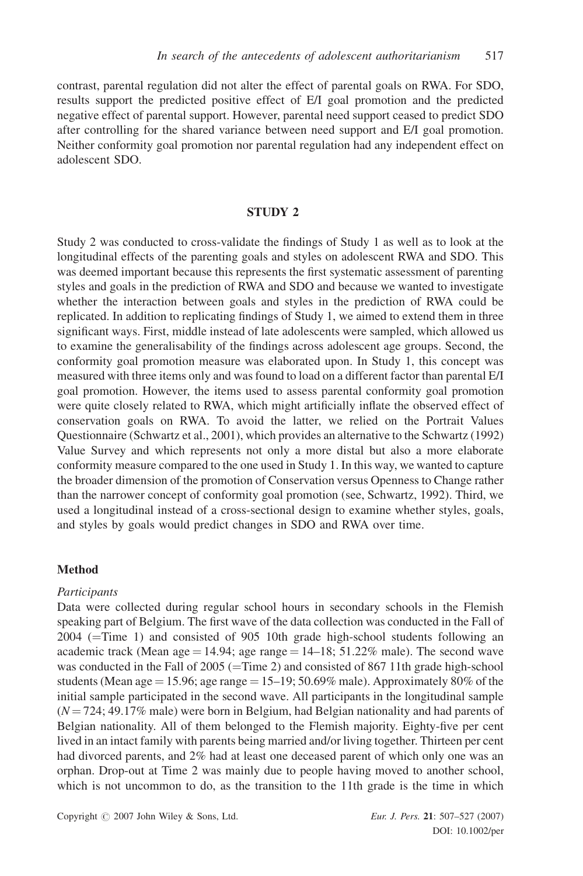contrast, parental regulation did not alter the effect of parental goals on RWA. For SDO, results support the predicted positive effect of E/I goal promotion and the predicted negative effect of parental support. However, parental need support ceased to predict SDO after controlling for the shared variance between need support and E/I goal promotion. Neither conformity goal promotion nor parental regulation had any independent effect on adolescent SDO.

## STUDY 2

Study 2 was conducted to cross-validate the findings of Study 1 as well as to look at the longitudinal effects of the parenting goals and styles on adolescent RWA and SDO. This was deemed important because this represents the first systematic assessment of parenting styles and goals in the prediction of RWA and SDO and because we wanted to investigate whether the interaction between goals and styles in the prediction of RWA could be replicated. In addition to replicating findings of Study 1, we aimed to extend them in three significant ways. First, middle instead of late adolescents were sampled, which allowed us to examine the generalisability of the findings across adolescent age groups. Second, the conformity goal promotion measure was elaborated upon. In Study 1, this concept was measured with three items only and was found to load on a different factor than parental E/I goal promotion. However, the items used to assess parental conformity goal promotion were quite closely related to RWA, which might artificially inflate the observed effect of conservation goals on RWA. To avoid the latter, we relied on the Portrait Values Questionnaire (Schwartz et al., 2001), which provides an alternative to the Schwartz (1992) Value Survey and which represents not only a more distal but also a more elaborate conformity measure compared to the one used in Study 1. In this way, we wanted to capture the broader dimension of the promotion of Conservation versus Openness to Change rather than the narrower concept of conformity goal promotion (see, Schwartz, 1992). Third, we used a longitudinal instead of a cross-sectional design to examine whether styles, goals, and styles by goals would predict changes in SDO and RWA over time.

## Method

#### Participants

Data were collected during regular school hours in secondary schools in the Flemish speaking part of Belgium. The first wave of the data collection was conducted in the Fall of  $2004$  ( $=Time 1$ ) and consisted of 905 10th grade high-school students following an academic track (Mean age = 14.94; age range =  $14{\text -}18$ ; 51.22% male). The second wave was conducted in the Fall of  $2005$  (=Time 2) and consisted of 867 11th grade high-school students (Mean age = 15.96; age range =  $15-19$ ; 50.69% male). Approximately 80% of the initial sample participated in the second wave. All participants in the longitudinal sample  $(N = 724; 49.17\%$  male) were born in Belgium, had Belgian nationality and had parents of Belgian nationality. All of them belonged to the Flemish majority. Eighty-five per cent lived in an intact family with parents being married and/or living together. Thirteen per cent had divorced parents, and 2% had at least one deceased parent of which only one was an orphan. Drop-out at Time 2 was mainly due to people having moved to another school, which is not uncommon to do, as the transition to the 11th grade is the time in which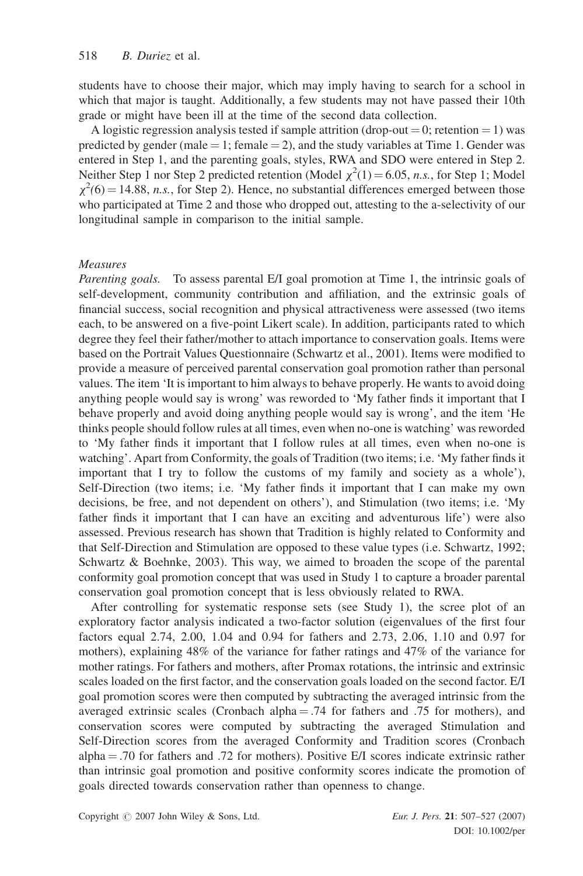students have to choose their major, which may imply having to search for a school in which that major is taught. Additionally, a few students may not have passed their 10th grade or might have been ill at the time of the second data collection.

A logistic regression analysis tested if sample attrition (drop-out = 0; retention = 1) was predicted by gender (male  $= 1$ ; female  $= 2$ ), and the study variables at Time 1. Gender was entered in Step 1, and the parenting goals, styles, RWA and SDO were entered in Step 2. Neither Step 1 nor Step 2 predicted retention (Model  $\chi^2(1) = 6.05$ , n.s., for Step 1; Model  $\chi^2(6) = 14.88$ , n.s., for Step 2). Hence, no substantial differences emerged between those who participated at Time 2 and those who dropped out, attesting to the a-selectivity of our longitudinal sample in comparison to the initial sample.

## Measures

Parenting goals. To assess parental E/I goal promotion at Time 1, the intrinsic goals of self-development, community contribution and affiliation, and the extrinsic goals of financial success, social recognition and physical attractiveness were assessed (two items each, to be answered on a five-point Likert scale). In addition, participants rated to which degree they feel their father/mother to attach importance to conservation goals. Items were based on the Portrait Values Questionnaire (Schwartz et al., 2001). Items were modified to provide a measure of perceived parental conservation goal promotion rather than personal values. The item 'It is important to him always to behave properly. He wants to avoid doing anything people would say is wrong' was reworded to 'My father finds it important that I behave properly and avoid doing anything people would say is wrong', and the item 'He thinks people should follow rules at all times, even when no-one is watching' was reworded to 'My father finds it important that I follow rules at all times, even when no-one is watching'. Apart from Conformity, the goals of Tradition (two items; i.e. 'My father finds it important that I try to follow the customs of my family and society as a whole'), Self-Direction (two items; i.e. 'My father finds it important that I can make my own decisions, be free, and not dependent on others'), and Stimulation (two items; i.e. 'My father finds it important that I can have an exciting and adventurous life') were also assessed. Previous research has shown that Tradition is highly related to Conformity and that Self-Direction and Stimulation are opposed to these value types (i.e. Schwartz, 1992; Schwartz & Boehnke, 2003). This way, we aimed to broaden the scope of the parental conformity goal promotion concept that was used in Study 1 to capture a broader parental conservation goal promotion concept that is less obviously related to RWA.

After controlling for systematic response sets (see Study 1), the scree plot of an exploratory factor analysis indicated a two-factor solution (eigenvalues of the first four factors equal 2.74, 2.00, 1.04 and 0.94 for fathers and 2.73, 2.06, 1.10 and 0.97 for mothers), explaining 48% of the variance for father ratings and 47% of the variance for mother ratings. For fathers and mothers, after Promax rotations, the intrinsic and extrinsic scales loaded on the first factor, and the conservation goals loaded on the second factor. E/I goal promotion scores were then computed by subtracting the averaged intrinsic from the averaged extrinsic scales (Cronbach alpha  $= .74$  for fathers and .75 for mothers), and conservation scores were computed by subtracting the averaged Stimulation and Self-Direction scores from the averaged Conformity and Tradition scores (Cronbach  $alpha = .70$  for fathers and .72 for mothers). Positive E/I scores indicate extrinsic rather than intrinsic goal promotion and positive conformity scores indicate the promotion of goals directed towards conservation rather than openness to change.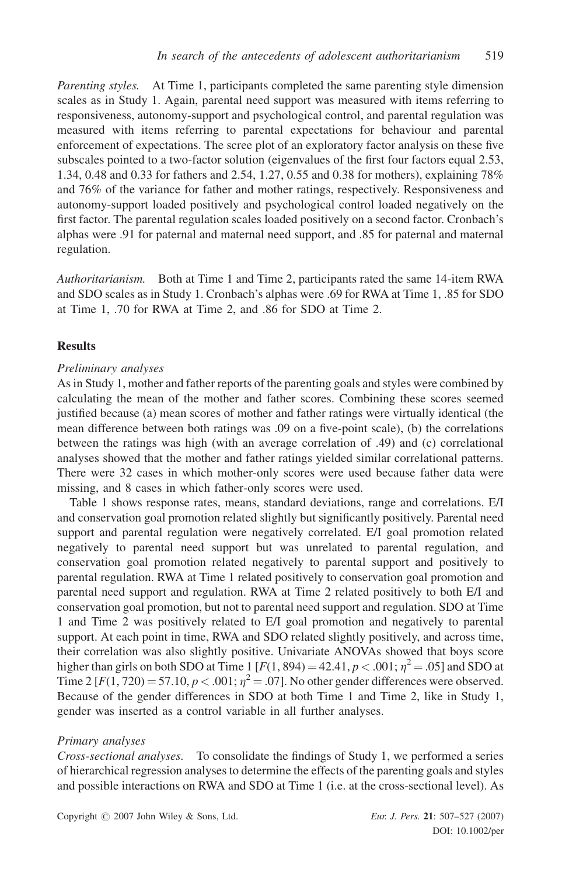Parenting styles. At Time 1, participants completed the same parenting style dimension scales as in Study 1. Again, parental need support was measured with items referring to responsiveness, autonomy-support and psychological control, and parental regulation was measured with items referring to parental expectations for behaviour and parental enforcement of expectations. The scree plot of an exploratory factor analysis on these five subscales pointed to a two-factor solution (eigenvalues of the first four factors equal 2.53, 1.34, 0.48 and 0.33 for fathers and 2.54, 1.27, 0.55 and 0.38 for mothers), explaining 78% and 76% of the variance for father and mother ratings, respectively. Responsiveness and autonomy-support loaded positively and psychological control loaded negatively on the first factor. The parental regulation scales loaded positively on a second factor. Cronbach's alphas were .91 for paternal and maternal need support, and .85 for paternal and maternal regulation.

Authoritarianism. Both at Time 1 and Time 2, participants rated the same 14-item RWA and SDO scales as in Study 1. Cronbach's alphas were .69 for RWA at Time 1, .85 for SDO at Time 1, .70 for RWA at Time 2, and .86 for SDO at Time 2.

## Results

#### Preliminary analyses

As in Study 1, mother and father reports of the parenting goals and styles were combined by calculating the mean of the mother and father scores. Combining these scores seemed justified because (a) mean scores of mother and father ratings were virtually identical (the mean difference between both ratings was .09 on a five-point scale), (b) the correlations between the ratings was high (with an average correlation of .49) and (c) correlational analyses showed that the mother and father ratings yielded similar correlational patterns. There were 32 cases in which mother-only scores were used because father data were missing, and 8 cases in which father-only scores were used.

Table 1 shows response rates, means, standard deviations, range and correlations. E/I and conservation goal promotion related slightly but significantly positively. Parental need support and parental regulation were negatively correlated. E/I goal promotion related negatively to parental need support but was unrelated to parental regulation, and conservation goal promotion related negatively to parental support and positively to parental regulation. RWA at Time 1 related positively to conservation goal promotion and parental need support and regulation. RWA at Time 2 related positively to both E/I and conservation goal promotion, but not to parental need support and regulation. SDO at Time 1 and Time 2 was positively related to E/I goal promotion and negatively to parental support. At each point in time, RWA and SDO related slightly positively, and across time, their correlation was also slightly positive. Univariate ANOVAs showed that boys score higher than girls on both SDO at Time 1 [ $F(1, 894) = 42.41$ ,  $p < .001$ ;  $\eta^2 = .05$ ] and SDO at Time 2 [ $F(1, 720) = 57.10, p < .001; \eta^2 = .07$ ]. No other gender differences were observed. Because of the gender differences in SDO at both Time 1 and Time 2, like in Study 1, gender was inserted as a control variable in all further analyses.

#### Primary analyses

Cross-sectional analyses. To consolidate the findings of Study 1, we performed a series of hierarchical regression analyses to determine the effects of the parenting goals and styles and possible interactions on RWA and SDO at Time 1 (i.e. at the cross-sectional level). As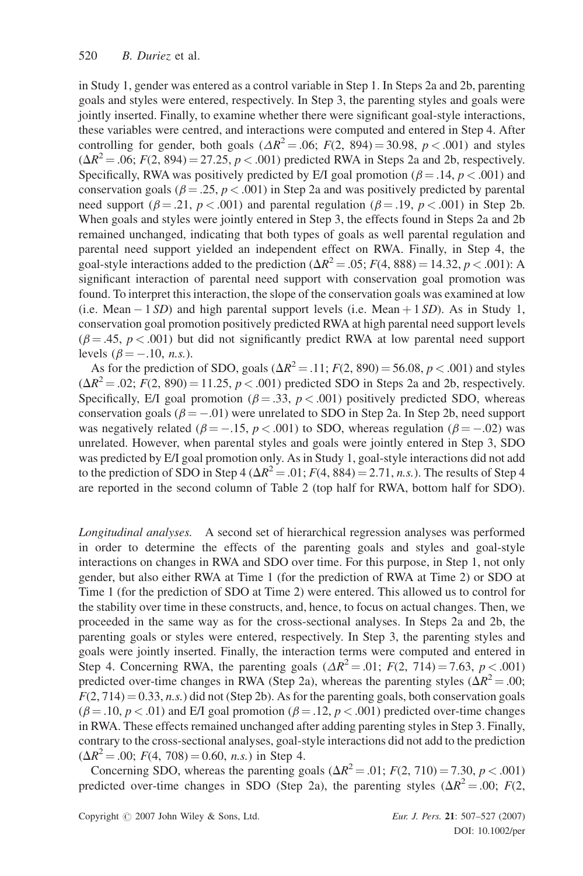in Study 1, gender was entered as a control variable in Step 1. In Steps 2a and 2b, parenting goals and styles were entered, respectively. In Step 3, the parenting styles and goals were jointly inserted. Finally, to examine whether there were significant goal-style interactions, these variables were centred, and interactions were computed and entered in Step 4. After controlling for gender, both goals  $(\Delta R^2 = .06; F(2, 894) = 30.98, p < .001)$  and styles  $(\Delta R^2 = .06; F(2, 894) = 27.25, p < .001)$  predicted RWA in Steps 2a and 2b, respectively. Specifically, RWA was positively predicted by E/I goal promotion ( $\beta = .14$ ,  $p < .001$ ) and conservation goals ( $\beta = .25$ ,  $p < .001$ ) in Step 2a and was positively predicted by parental need support ( $\beta = .21$ ,  $p < .001$ ) and parental regulation ( $\beta = .19$ ,  $p < .001$ ) in Step 2b. When goals and styles were jointly entered in Step 3, the effects found in Steps 2a and 2b remained unchanged, indicating that both types of goals as well parental regulation and parental need support yielded an independent effect on RWA. Finally, in Step 4, the goal-style interactions added to the prediction ( $\Delta R^2 = .05$ ; F(4, 888) = 14.32, p < .001): A significant interaction of parental need support with conservation goal promotion was found. To interpret this interaction, the slope of the conservation goals was examined at low (i.e. Mean  $-1$  SD) and high parental support levels (i.e. Mean  $+1$  SD). As in Study 1, conservation goal promotion positively predicted RWA at high parental need support levels  $(\beta = .45, p < .001)$  but did not significantly predict RWA at low parental need support levels  $(\beta = -.10, n.s.).$ 

As for the prediction of SDO, goals ( $\Delta R^2 = .11$ ;  $F(2, 890) = 56.08$ ,  $p < .001$ ) and styles  $(\Delta R^2 = .02; F(2, 890) = 11.25, p < .001)$  predicted SDO in Steps 2a and 2b, respectively. Specifically, E/I goal promotion ( $\beta = .33$ ,  $p < .001$ ) positively predicted SDO, whereas conservation goals ( $\beta = -.01$ ) were unrelated to SDO in Step 2a. In Step 2b, need support was negatively related ( $\beta = -.15$ ,  $p < .001$ ) to SDO, whereas regulation ( $\beta = -.02$ ) was unrelated. However, when parental styles and goals were jointly entered in Step 3, SDO was predicted by E/I goal promotion only. As in Study 1, goal-style interactions did not add to the prediction of SDO in Step 4 ( $\Delta R^2 = .01$ ;  $F(4, 884) = 2.71$ , n.s.). The results of Step 4 are reported in the second column of Table 2 (top half for RWA, bottom half for SDO).

Longitudinal analyses. A second set of hierarchical regression analyses was performed in order to determine the effects of the parenting goals and styles and goal-style interactions on changes in RWA and SDO over time. For this purpose, in Step 1, not only gender, but also either RWA at Time 1 (for the prediction of RWA at Time 2) or SDO at Time 1 (for the prediction of SDO at Time 2) were entered. This allowed us to control for the stability over time in these constructs, and, hence, to focus on actual changes. Then, we proceeded in the same way as for the cross-sectional analyses. In Steps 2a and 2b, the parenting goals or styles were entered, respectively. In Step 3, the parenting styles and goals were jointly inserted. Finally, the interaction terms were computed and entered in Step 4. Concerning RWA, the parenting goals  $(\Delta R^2 = .01; F(2, 714) = 7.63, p < .001)$ predicted over-time changes in RWA (Step 2a), whereas the parenting styles ( $\Delta R^2 = .00$ ;  $F(2, 714) = 0.33, n.s.$ ) did not (Step 2b). As for the parenting goals, both conservation goals  $(\beta = .10, p < .01)$  and E/I goal promotion  $(\beta = .12, p < .001)$  predicted over-time changes in RWA. These effects remained unchanged after adding parenting styles in Step 3. Finally, contrary to the cross-sectional analyses, goal-style interactions did not add to the prediction  $(\Delta R^2 = .00; F(4, 708) = 0.60, n.s.)$  in Step 4.

Concerning SDO, whereas the parenting goals  $(\Delta R^2 = .01; F(2, 710) = 7.30, p < .001)$ predicted over-time changes in SDO (Step 2a), the parenting styles ( $\Delta R^2 = .00$ ; F(2,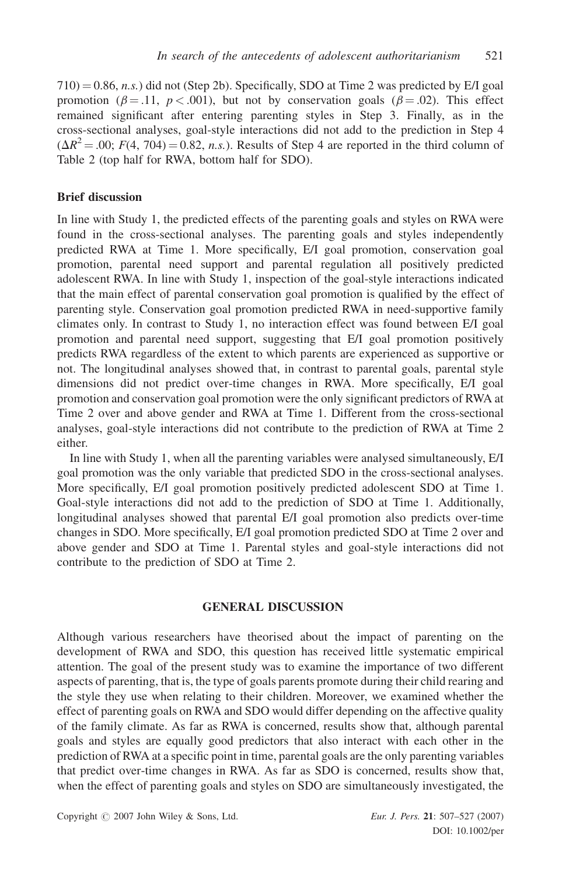$710$ ) = 0.86, n.s.) did not (Step 2b). Specifically, SDO at Time 2 was predicted by E/I goal promotion ( $\beta = .11$ ,  $p < .001$ ), but not by conservation goals ( $\beta = .02$ ). This effect remained significant after entering parenting styles in Step 3. Finally, as in the cross-sectional analyses, goal-style interactions did not add to the prediction in Step 4  $(\Delta R^2 = .00; F(4, 704) = 0.82, n.s.).$  Results of Step 4 are reported in the third column of Table 2 (top half for RWA, bottom half for SDO).

## Brief discussion

In line with Study 1, the predicted effects of the parenting goals and styles on RWA were found in the cross-sectional analyses. The parenting goals and styles independently predicted RWA at Time 1. More specifically, E/I goal promotion, conservation goal promotion, parental need support and parental regulation all positively predicted adolescent RWA. In line with Study 1, inspection of the goal-style interactions indicated that the main effect of parental conservation goal promotion is qualified by the effect of parenting style. Conservation goal promotion predicted RWA in need-supportive family climates only. In contrast to Study 1, no interaction effect was found between E/I goal promotion and parental need support, suggesting that E/I goal promotion positively predicts RWA regardless of the extent to which parents are experienced as supportive or not. The longitudinal analyses showed that, in contrast to parental goals, parental style dimensions did not predict over-time changes in RWA. More specifically, E/I goal promotion and conservation goal promotion were the only significant predictors of RWA at Time 2 over and above gender and RWA at Time 1. Different from the cross-sectional analyses, goal-style interactions did not contribute to the prediction of RWA at Time 2 either.

In line with Study 1, when all the parenting variables were analysed simultaneously, E/I goal promotion was the only variable that predicted SDO in the cross-sectional analyses. More specifically, E/I goal promotion positively predicted adolescent SDO at Time 1. Goal-style interactions did not add to the prediction of SDO at Time 1. Additionally, longitudinal analyses showed that parental E/I goal promotion also predicts over-time changes in SDO. More specifically, E/I goal promotion predicted SDO at Time 2 over and above gender and SDO at Time 1. Parental styles and goal-style interactions did not contribute to the prediction of SDO at Time 2.

## GENERAL DISCUSSION

Although various researchers have theorised about the impact of parenting on the development of RWA and SDO, this question has received little systematic empirical attention. The goal of the present study was to examine the importance of two different aspects of parenting, that is, the type of goals parents promote during their child rearing and the style they use when relating to their children. Moreover, we examined whether the effect of parenting goals on RWA and SDO would differ depending on the affective quality of the family climate. As far as RWA is concerned, results show that, although parental goals and styles are equally good predictors that also interact with each other in the prediction of RWA at a specific point in time, parental goals are the only parenting variables that predict over-time changes in RWA. As far as SDO is concerned, results show that, when the effect of parenting goals and styles on SDO are simultaneously investigated, the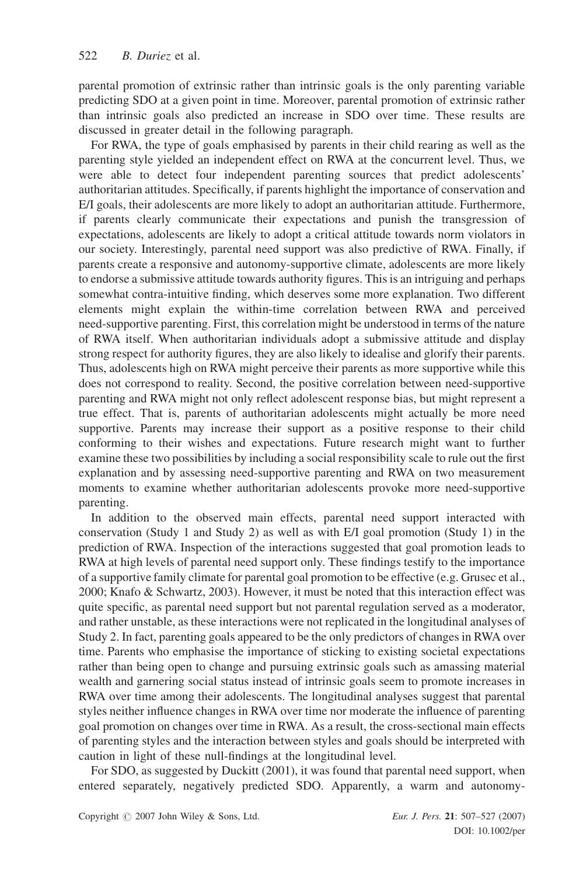parental promotion of extrinsic rather than intrinsic goals is the only parenting variable predicting SDO at a given point in time. Moreover, parental promotion of extrinsic rather than intrinsic goals also predicted an increase in SDO over time. These results are discussed in greater detail in the following paragraph.

For RWA, the type of goals emphasised by parents in their child rearing as well as the parenting style yielded an independent effect on RWA at the concurrent level. Thus, we were able to detect four independent parenting sources that predict adolescents' authoritarian attitudes. Specifically, if parents highlight the importance of conservation and E/I goals, their adolescents are more likely to adopt an authoritarian attitude. Furthermore, if parents clearly communicate their expectations and punish the transgression of expectations, adolescents are likely to adopt a critical attitude towards norm violators in our society. Interestingly, parental need support was also predictive of RWA. Finally, if parents create a responsive and autonomy-supportive climate, adolescents are more likely to endorse a submissive attitude towards authority figures. This is an intriguing and perhaps somewhat contra-intuitive finding, which deserves some more explanation. Two different elements might explain the within-time correlation between RWA and perceived need-supportive parenting. First, this correlation might be understood in terms of the nature of RWA itself. When authoritarian individuals adopt a submissive attitude and display strong respect for authority figures, they are also likely to idealise and glorify their parents. Thus, adolescents high on RWA might perceive their parents as more supportive while this does not correspond to reality. Second, the positive correlation between need-supportive parenting and RWA might not only reflect adolescent response bias, but might represent a true effect. That is, parents of authoritarian adolescents might actually be more need supportive. Parents may increase their support as a positive response to their child conforming to their wishes and expectations. Future research might want to further examine these two possibilities by including a social responsibility scale to rule out the first explanation and by assessing need-supportive parenting and RWA on two measurement moments to examine whether authoritarian adolescents provoke more need-supportive parenting.

In addition to the observed main effects, parental need support interacted with conservation (Study 1 and Study 2) as well as with E/I goal promotion (Study 1) in the prediction of RWA. Inspection of the interactions suggested that goal promotion leads to RWA at high levels of parental need support only. These findings testify to the importance of a supportive family climate for parental goal promotion to be effective (e.g. Grusec et al., 2000; Knafo & Schwartz, 2003). However, it must be noted that this interaction effect was quite specific, as parental need support but not parental regulation served as a moderator, and rather unstable, as these interactions were not replicated in the longitudinal analyses of Study 2. In fact, parenting goals appeared to be the only predictors of changes in RWA over time. Parents who emphasise the importance of sticking to existing societal expectations rather than being open to change and pursuing extrinsic goals such as amassing material wealth and garnering social status instead of intrinsic goals seem to promote increases in RWA over time among their adolescents. The longitudinal analyses suggest that parental styles neither influence changes in RWA over time nor moderate the influence of parenting goal promotion on changes over time in RWA. As a result, the cross-sectional main effects of parenting styles and the interaction between styles and goals should be interpreted with caution in light of these null-findings at the longitudinal level.

For SDO, as suggested by Duckitt (2001), it was found that parental need support, when entered separately, negatively predicted SDO. Apparently, a warm and autonomy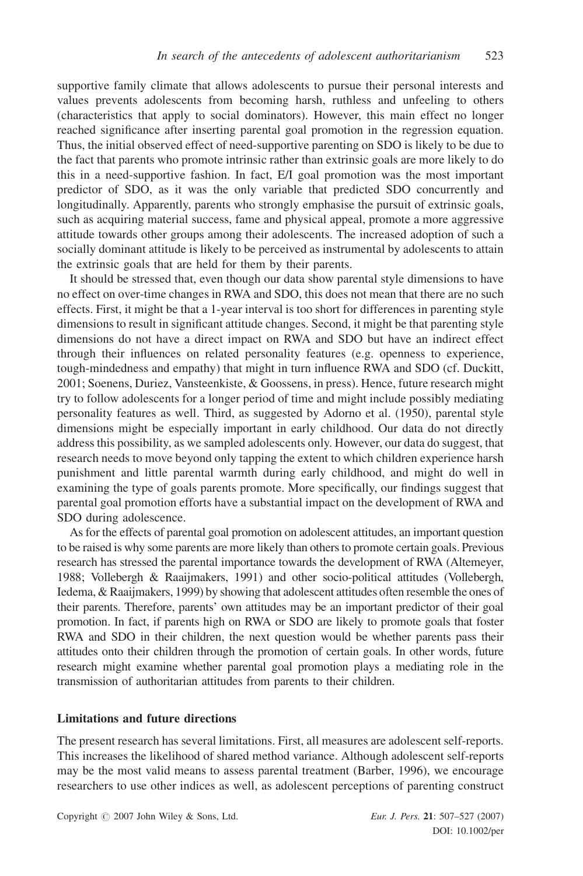supportive family climate that allows adolescents to pursue their personal interests and values prevents adolescents from becoming harsh, ruthless and unfeeling to others (characteristics that apply to social dominators). However, this main effect no longer reached significance after inserting parental goal promotion in the regression equation. Thus, the initial observed effect of need-supportive parenting on SDO is likely to be due to the fact that parents who promote intrinsic rather than extrinsic goals are more likely to do this in a need-supportive fashion. In fact, E/I goal promotion was the most important predictor of SDO, as it was the only variable that predicted SDO concurrently and longitudinally. Apparently, parents who strongly emphasise the pursuit of extrinsic goals, such as acquiring material success, fame and physical appeal, promote a more aggressive attitude towards other groups among their adolescents. The increased adoption of such a socially dominant attitude is likely to be perceived as instrumental by adolescents to attain the extrinsic goals that are held for them by their parents.

It should be stressed that, even though our data show parental style dimensions to have no effect on over-time changes in RWA and SDO, this does not mean that there are no such effects. First, it might be that a 1-year interval is too short for differences in parenting style dimensions to result in significant attitude changes. Second, it might be that parenting style dimensions do not have a direct impact on RWA and SDO but have an indirect effect through their influences on related personality features (e.g. openness to experience, tough-mindedness and empathy) that might in turn influence RWA and SDO (cf. Duckitt, 2001; Soenens, Duriez, Vansteenkiste, & Goossens, in press). Hence, future research might try to follow adolescents for a longer period of time and might include possibly mediating personality features as well. Third, as suggested by Adorno et al. (1950), parental style dimensions might be especially important in early childhood. Our data do not directly address this possibility, as we sampled adolescents only. However, our data do suggest, that research needs to move beyond only tapping the extent to which children experience harsh punishment and little parental warmth during early childhood, and might do well in examining the type of goals parents promote. More specifically, our findings suggest that parental goal promotion efforts have a substantial impact on the development of RWA and SDO during adolescence.

As for the effects of parental goal promotion on adolescent attitudes, an important question to be raised is why some parents are more likely than others to promote certain goals. Previous research has stressed the parental importance towards the development of RWA (Altemeyer, 1988; Vollebergh & Raaijmakers, 1991) and other socio-political attitudes (Vollebergh, Iedema, & Raaijmakers, 1999) by showing that adolescent attitudes often resemble the ones of their parents. Therefore, parents' own attitudes may be an important predictor of their goal promotion. In fact, if parents high on RWA or SDO are likely to promote goals that foster RWA and SDO in their children, the next question would be whether parents pass their attitudes onto their children through the promotion of certain goals. In other words, future research might examine whether parental goal promotion plays a mediating role in the transmission of authoritarian attitudes from parents to their children.

## Limitations and future directions

The present research has several limitations. First, all measures are adolescent self-reports. This increases the likelihood of shared method variance. Although adolescent self-reports may be the most valid means to assess parental treatment (Barber, 1996), we encourage researchers to use other indices as well, as adolescent perceptions of parenting construct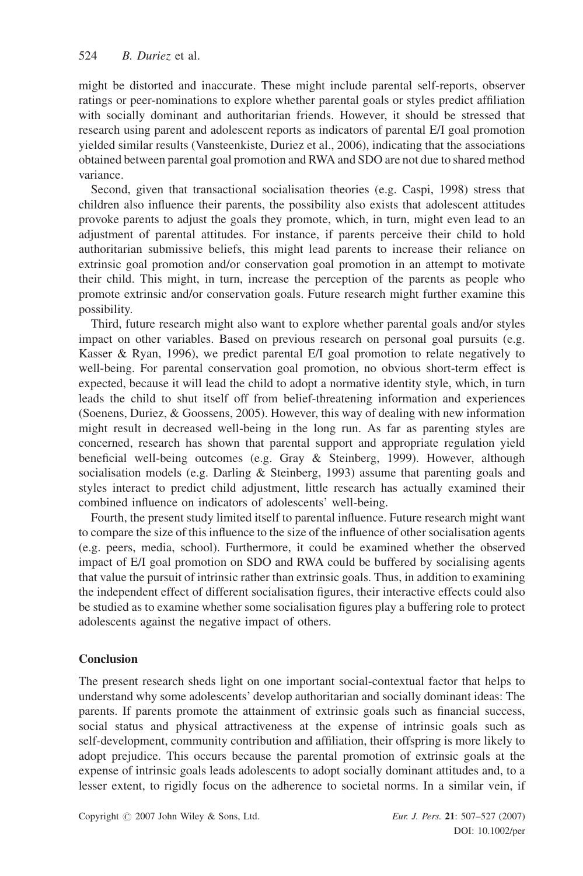might be distorted and inaccurate. These might include parental self-reports, observer ratings or peer-nominations to explore whether parental goals or styles predict affiliation with socially dominant and authoritarian friends. However, it should be stressed that research using parent and adolescent reports as indicators of parental E/I goal promotion yielded similar results (Vansteenkiste, Duriez et al., 2006), indicating that the associations obtained between parental goal promotion and RWA and SDO are not due to shared method variance.

Second, given that transactional socialisation theories (e.g. Caspi, 1998) stress that children also influence their parents, the possibility also exists that adolescent attitudes provoke parents to adjust the goals they promote, which, in turn, might even lead to an adjustment of parental attitudes. For instance, if parents perceive their child to hold authoritarian submissive beliefs, this might lead parents to increase their reliance on extrinsic goal promotion and/or conservation goal promotion in an attempt to motivate their child. This might, in turn, increase the perception of the parents as people who promote extrinsic and/or conservation goals. Future research might further examine this possibility.

Third, future research might also want to explore whether parental goals and/or styles impact on other variables. Based on previous research on personal goal pursuits (e.g. Kasser & Ryan, 1996), we predict parental E/I goal promotion to relate negatively to well-being. For parental conservation goal promotion, no obvious short-term effect is expected, because it will lead the child to adopt a normative identity style, which, in turn leads the child to shut itself off from belief-threatening information and experiences (Soenens, Duriez, & Goossens, 2005). However, this way of dealing with new information might result in decreased well-being in the long run. As far as parenting styles are concerned, research has shown that parental support and appropriate regulation yield beneficial well-being outcomes (e.g. Gray & Steinberg, 1999). However, although socialisation models (e.g. Darling & Steinberg, 1993) assume that parenting goals and styles interact to predict child adjustment, little research has actually examined their combined influence on indicators of adolescents' well-being.

Fourth, the present study limited itself to parental influence. Future research might want to compare the size of this influence to the size of the influence of other socialisation agents (e.g. peers, media, school). Furthermore, it could be examined whether the observed impact of E/I goal promotion on SDO and RWA could be buffered by socialising agents that value the pursuit of intrinsic rather than extrinsic goals. Thus, in addition to examining the independent effect of different socialisation figures, their interactive effects could also be studied as to examine whether some socialisation figures play a buffering role to protect adolescents against the negative impact of others.

# Conclusion

The present research sheds light on one important social-contextual factor that helps to understand why some adolescents' develop authoritarian and socially dominant ideas: The parents. If parents promote the attainment of extrinsic goals such as financial success, social status and physical attractiveness at the expense of intrinsic goals such as self-development, community contribution and affiliation, their offspring is more likely to adopt prejudice. This occurs because the parental promotion of extrinsic goals at the expense of intrinsic goals leads adolescents to adopt socially dominant attitudes and, to a lesser extent, to rigidly focus on the adherence to societal norms. In a similar vein, if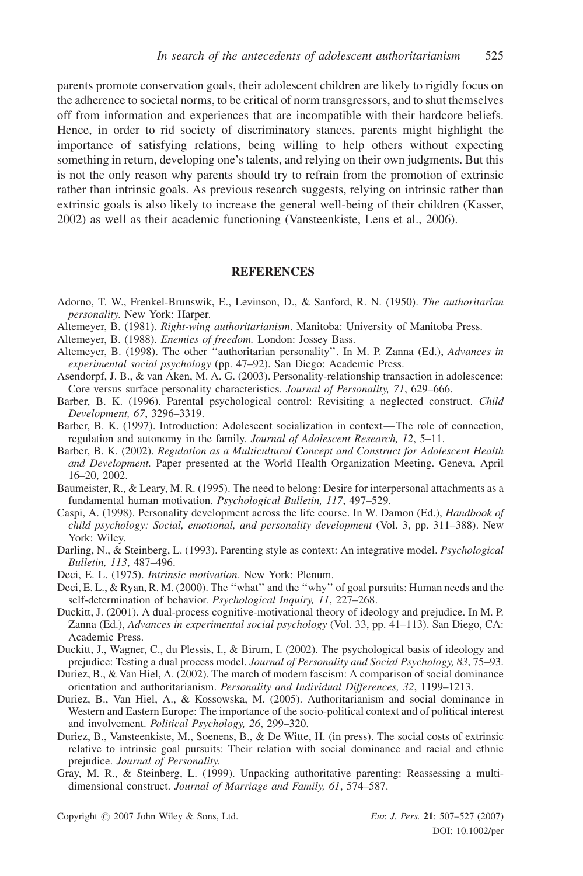parents promote conservation goals, their adolescent children are likely to rigidly focus on the adherence to societal norms, to be critical of norm transgressors, and to shut themselves off from information and experiences that are incompatible with their hardcore beliefs. Hence, in order to rid society of discriminatory stances, parents might highlight the importance of satisfying relations, being willing to help others without expecting something in return, developing one's talents, and relying on their own judgments. But this is not the only reason why parents should try to refrain from the promotion of extrinsic rather than intrinsic goals. As previous research suggests, relying on intrinsic rather than extrinsic goals is also likely to increase the general well-being of their children (Kasser, 2002) as well as their academic functioning (Vansteenkiste, Lens et al., 2006).

#### **REFERENCES**

- Adorno, T. W., Frenkel-Brunswik, E., Levinson, D., & Sanford, R. N. (1950). The authoritarian personality. New York: Harper.
- Altemeyer, B. (1981). Right-wing authoritarianism. Manitoba: University of Manitoba Press.
- Altemeyer, B. (1988). Enemies of freedom. London: Jossey Bass.
- Altemeyer, B. (1998). The other ''authoritarian personality''. In M. P. Zanna (Ed.), Advances in experimental social psychology (pp. 47–92). San Diego: Academic Press.
- Asendorpf, J. B., & van Aken, M. A. G. (2003). Personality-relationship transaction in adolescence: Core versus surface personality characteristics. Journal of Personality, 71, 629–666.
- Barber, B. K. (1996). Parental psychological control: Revisiting a neglected construct. Child Development, 67, 3296–3319.
- Barber, B. K. (1997). Introduction: Adolescent socialization in context—The role of connection, regulation and autonomy in the family. Journal of Adolescent Research, 12, 5–11.
- Barber, B. K. (2002). Regulation as a Multicultural Concept and Construct for Adolescent Health and Development. Paper presented at the World Health Organization Meeting. Geneva, April 16–20, 2002.
- Baumeister, R., & Leary, M. R. (1995). The need to belong: Desire for interpersonal attachments as a fundamental human motivation. Psychological Bulletin, 117, 497–529.
- Caspi, A. (1998). Personality development across the life course. In W. Damon (Ed.), *Handbook of* child psychology: Social, emotional, and personality development (Vol. 3, pp. 311–388). New York: Wiley.
- Darling, N., & Steinberg, L. (1993). Parenting style as context: An integrative model. Psychological Bulletin, 113, 487–496.
- Deci, E. L. (1975). Intrinsic motivation. New York: Plenum.
- Deci, E. L., & Ryan, R. M. (2000). The ''what'' and the ''why'' of goal pursuits: Human needs and the self-determination of behavior. Psychological Inquiry, 11, 227-268.
- Duckitt, J. (2001). A dual-process cognitive-motivational theory of ideology and prejudice. In M. P. Zanna (Ed.), Advances in experimental social psychology (Vol. 33, pp. 41–113). San Diego, CA: Academic Press.
- Duckitt, J., Wagner, C., du Plessis, I., & Birum, I. (2002). The psychological basis of ideology and prejudice: Testing a dual process model. Journal of Personality and Social Psychology, 83, 75–93.
- Duriez, B., & Van Hiel, A. (2002). The march of modern fascism: A comparison of social dominance orientation and authoritarianism. Personality and Individual Differences, 32, 1199–1213.
- Duriez, B., Van Hiel, A., & Kossowska, M. (2005). Authoritarianism and social dominance in Western and Eastern Europe: The importance of the socio-political context and of political interest and involvement. Political Psychology, 26, 299–320.
- Duriez, B., Vansteenkiste, M., Soenens, B., & De Witte, H. (in press). The social costs of extrinsic relative to intrinsic goal pursuits: Their relation with social dominance and racial and ethnic prejudice. Journal of Personality.
- Gray, M. R., & Steinberg, L. (1999). Unpacking authoritative parenting: Reassessing a multidimensional construct. Journal of Marriage and Family, 61, 574–587.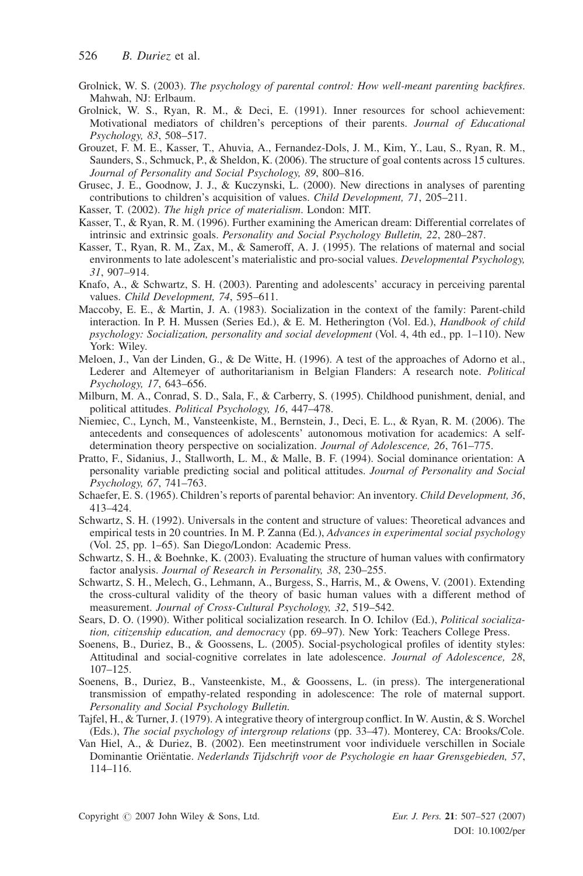- Grolnick, W. S. (2003). The psychology of parental control: How well-meant parenting backfires. Mahwah, NJ: Erlbaum.
- Grolnick, W. S., Ryan, R. M., & Deci, E. (1991). Inner resources for school achievement: Motivational mediators of children's perceptions of their parents. Journal of Educational Psychology, 83, 508–517.
- Grouzet, F. M. E., Kasser, T., Ahuvia, A., Fernandez-Dols, J. M., Kim, Y., Lau, S., Ryan, R. M., Saunders, S., Schmuck, P., & Sheldon, K. (2006). The structure of goal contents across 15 cultures. Journal of Personality and Social Psychology, 89, 800–816.
- Grusec, J. E., Goodnow, J. J., & Kuczynski, L. (2000). New directions in analyses of parenting contributions to children's acquisition of values. Child Development, 71, 205–211.
- Kasser, T. (2002). The high price of materialism. London: MIT.
- Kasser, T., & Ryan, R. M. (1996). Further examining the American dream: Differential correlates of intrinsic and extrinsic goals. Personality and Social Psychology Bulletin, 22, 280–287.
- Kasser, T., Ryan, R. M., Zax, M., & Sameroff, A. J. (1995). The relations of maternal and social environments to late adolescent's materialistic and pro-social values. *Developmental Psychology*, 31, 907–914.
- Knafo, A., & Schwartz, S. H. (2003). Parenting and adolescents' accuracy in perceiving parental values. Child Development, 74, 595–611.
- Maccoby, E. E., & Martin, J. A. (1983). Socialization in the context of the family: Parent-child interaction. In P. H. Mussen (Series Ed.), & E. M. Hetherington (Vol. Ed.), Handbook of child psychology: Socialization, personality and social development (Vol. 4, 4th ed., pp. 1–110). New York: Wiley.
- Meloen, J., Van der Linden, G., & De Witte, H. (1996). A test of the approaches of Adorno et al., Lederer and Altemeyer of authoritarianism in Belgian Flanders: A research note. Political Psychology, 17, 643–656.
- Milburn, M. A., Conrad, S. D., Sala, F., & Carberry, S. (1995). Childhood punishment, denial, and political attitudes. Political Psychology, 16, 447–478.
- Niemiec, C., Lynch, M., Vansteenkiste, M., Bernstein, J., Deci, E. L., & Ryan, R. M. (2006). The antecedents and consequences of adolescents' autonomous motivation for academics: A selfdetermination theory perspective on socialization. Journal of Adolescence, 26, 761–775.
- Pratto, F., Sidanius, J., Stallworth, L. M., & Malle, B. F. (1994). Social dominance orientation: A personality variable predicting social and political attitudes. Journal of Personality and Social Psychology, 67, 741–763.
- Schaefer, E. S. (1965). Children's reports of parental behavior: An inventory. Child Development, 36, 413–424.
- Schwartz, S. H. (1992). Universals in the content and structure of values: Theoretical advances and empirical tests in 20 countries. In M. P. Zanna (Ed.), Advances in experimental social psychology (Vol. 25, pp. 1–65). San Diego/London: Academic Press.
- Schwartz, S. H., & Boehnke, K. (2003). Evaluating the structure of human values with confirmatory factor analysis. Journal of Research in Personality, 38, 230-255.
- Schwartz, S. H., Melech, G., Lehmann, A., Burgess, S., Harris, M., & Owens, V. (2001). Extending the cross-cultural validity of the theory of basic human values with a different method of measurement. Journal of Cross-Cultural Psychology, 32, 519–542.
- Sears, D. O. (1990). Wither political socialization research. In O. Ichilov (Ed.), *Political socializa*tion, citizenship education, and democracy (pp. 69–97). New York: Teachers College Press.
- Soenens, B., Duriez, B., & Goossens, L. (2005). Social-psychological profiles of identity styles: Attitudinal and social-cognitive correlates in late adolescence. Journal of Adolescence, 28, 107–125.
- Soenens, B., Duriez, B., Vansteenkiste, M., & Goossens, L. (in press). The intergenerational transmission of empathy-related responding in adolescence: The role of maternal support. Personality and Social Psychology Bulletin.
- Tajfel, H., & Turner, J. (1979). A integrative theory of intergroup conflict. In W. Austin, & S. Worchel (Eds.), The social psychology of intergroup relations (pp. 33–47). Monterey, CA: Brooks/Cole.
- Van Hiel, A., & Duriez, B. (2002). Een meetinstrument voor individuele verschillen in Sociale Dominantie Oriëntatie. Nederlands Tijdschrift voor de Psychologie en haar Grensgebieden, 57, 114–116.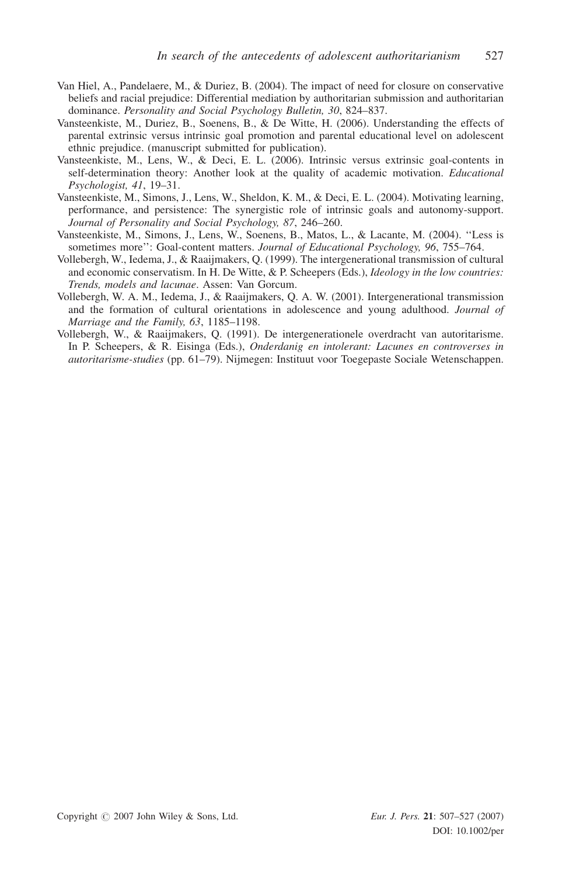- Van Hiel, A., Pandelaere, M., & Duriez, B. (2004). The impact of need for closure on conservative beliefs and racial prejudice: Differential mediation by authoritarian submission and authoritarian dominance. Personality and Social Psychology Bulletin, 30, 824–837.
- Vansteenkiste, M., Duriez, B., Soenens, B., & De Witte, H. (2006). Understanding the effects of parental extrinsic versus intrinsic goal promotion and parental educational level on adolescent ethnic prejudice. (manuscript submitted for publication).
- Vansteenkiste, M., Lens, W., & Deci, E. L. (2006). Intrinsic versus extrinsic goal-contents in self-determination theory: Another look at the quality of academic motivation. *Educational* Psychologist, 41, 19–31.
- Vansteenkiste, M., Simons, J., Lens, W., Sheldon, K. M., & Deci, E. L. (2004). Motivating learning, performance, and persistence: The synergistic role of intrinsic goals and autonomy-support. Journal of Personality and Social Psychology, 87, 246–260.
- Vansteenkiste, M., Simons, J., Lens, W., Soenens, B., Matos, L., & Lacante, M. (2004). ''Less is sometimes more": Goal-content matters. Journal of Educational Psychology, 96, 755–764.
- Vollebergh, W., Iedema, J., & Raaijmakers, Q. (1999). The intergenerational transmission of cultural and economic conservatism. In H. De Witte, & P. Scheepers (Eds.), *Ideology in the low countries:* Trends, models and lacunae. Assen: Van Gorcum.
- Vollebergh, W. A. M., Iedema, J., & Raaijmakers, Q. A. W. (2001). Intergenerational transmission and the formation of cultural orientations in adolescence and young adulthood. Journal of Marriage and the Family, 63, 1185–1198.
- Vollebergh, W., & Raaijmakers, Q. (1991). De intergenerationele overdracht van autoritarisme. In P. Scheepers, & R. Eisinga (Eds.), *Onderdanig en intolerant: Lacunes en controverses in* autoritarisme-studies (pp. 61–79). Nijmegen: Instituut voor Toegepaste Sociale Wetenschappen.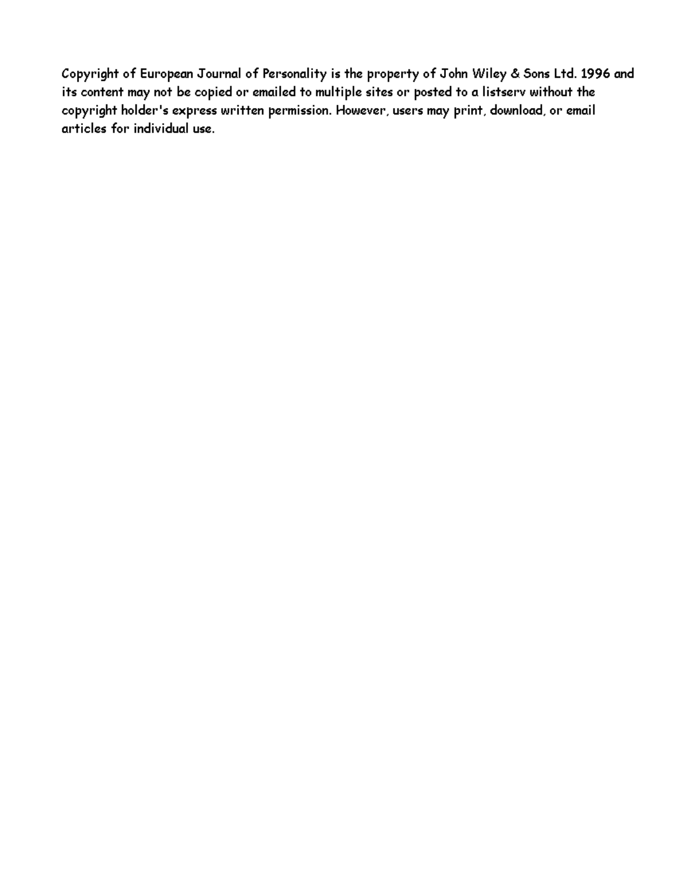Copyright of European Journal of Personality is the property of John Wiley & Sons Ltd. 1996 and its content may not be copied or emailed to multiple sites or posted to a listserv without the copyright holder's express written permission. However, users may print, download, or email articles for individual use.